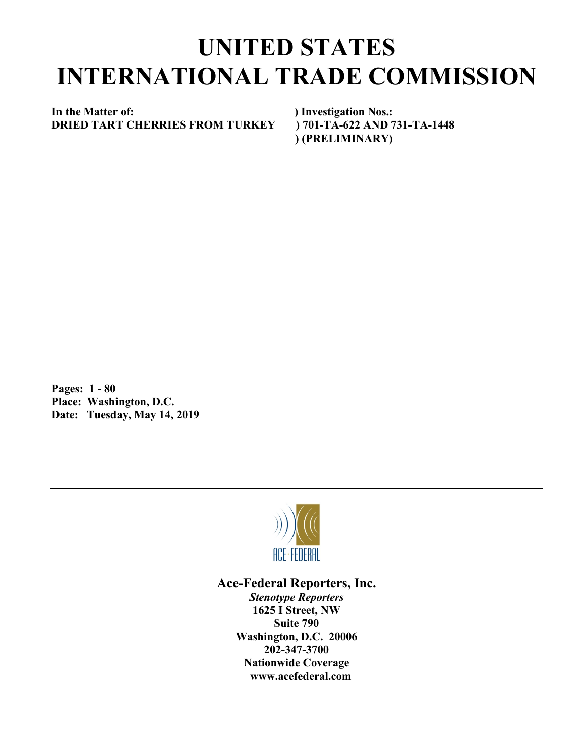## **UNITED STATES INTERNATIONAL TRADE COMMISSION**

**In the Matter of: ) Investigation Nos.: DRIED TART CHERRIES FROM TURKEY ) 701-TA-622 AND 731-TA-1448**

 **) (PRELIMINARY)**

**Pages: 1 - 80 Place: Washington, D.C. Date: Tuesday, May 14, 2019**



**Ace-Federal Reporters, Inc.** *Stenotype Reporters* **1625 I Street, NW Suite 790 Washington, D.C. 20006 202-347-3700 Nationwide Coverage www.acefederal.com**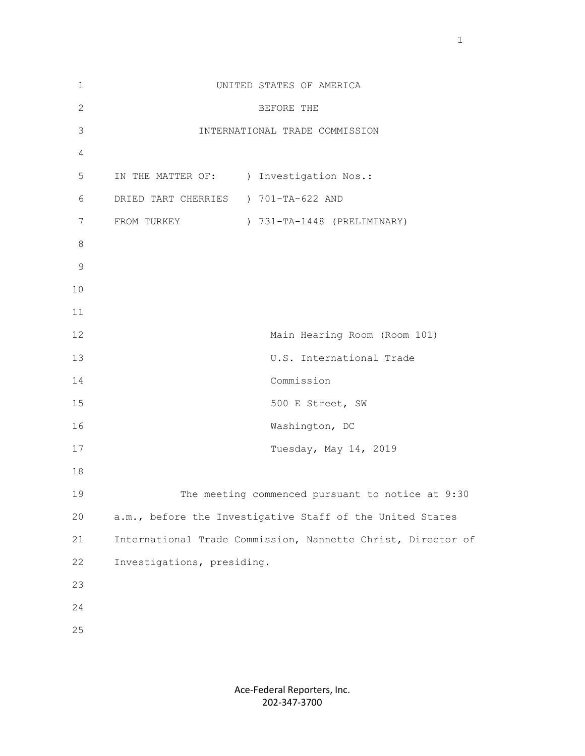| $\mathbf 1$    | UNITED STATES OF AMERICA                                     |
|----------------|--------------------------------------------------------------|
| $\overline{2}$ | BEFORE THE                                                   |
| 3              | INTERNATIONAL TRADE COMMISSION                               |
| 4              |                                                              |
| 5              | IN THE MATTER OF: ) Investigation Nos.:                      |
| 6              | DRIED TART CHERRIES ) 701-TA-622 AND                         |
| 7              | FROM TURKEY<br>) 731-TA-1448 (PRELIMINARY)                   |
| $\,8\,$        |                                                              |
| $\mathcal{G}$  |                                                              |
| 10             |                                                              |
| 11             |                                                              |
| 12             | Main Hearing Room (Room 101)                                 |
| 13             | U.S. International Trade                                     |
| 14             | Commission                                                   |
| 15             | 500 E Street, SW                                             |
| 16             | Washington, DC                                               |
| 17             | Tuesday, May 14, 2019                                        |
| 18             |                                                              |
| 19             | The meeting commenced pursuant to notice at 9:30             |
| 20             | a.m., before the Investigative Staff of the United States    |
| 21             | International Trade Commission, Nannette Christ, Director of |
| 22             | Investigations, presiding.                                   |
| 23             |                                                              |
| 24             |                                                              |
| 25             |                                                              |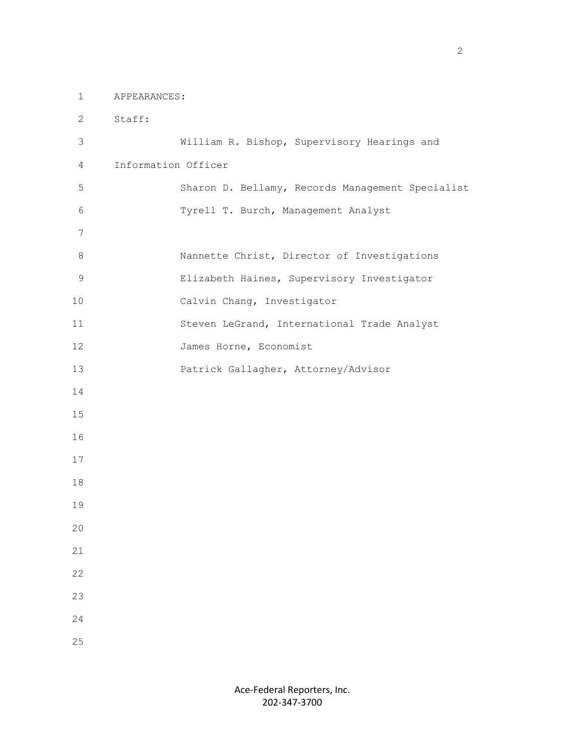1 APPEARANCES:

 2 Staff: 3 William R. Bishop, Supervisory Hearings and 4 Information Officer 5 Sharon D. Bellamy, Records Management Specialist 6 Tyrell T. Burch, Management Analyst 7 8 Nannette Christ, Director of Investigations 9 Elizabeth Haines, Supervisory Investigator 10 Calvin Chang, Investigator 11 Steven LeGrand, International Trade Analyst 12 James Horne, Economist 13 Patrick Gallagher, Attorney/Advisor 14 15 16 17 18 19 20 21 22 23 24 25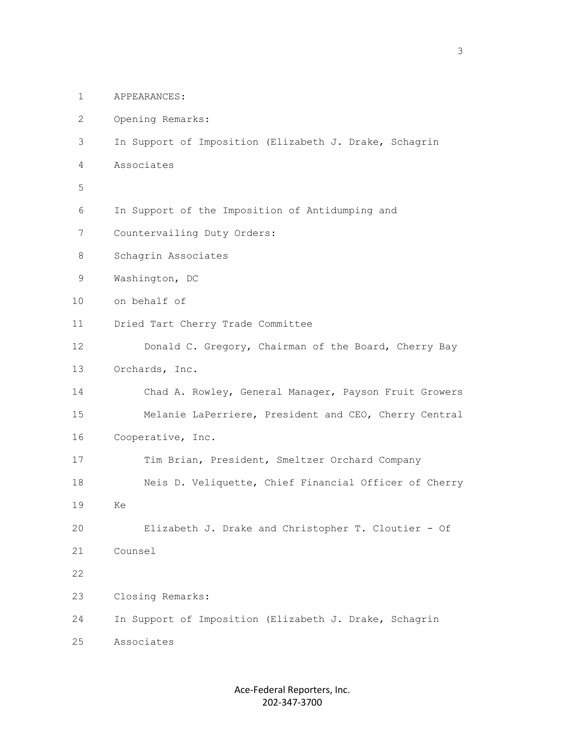- 1 APPEARANCES:
- 2 Opening Remarks:
- 3 In Support of Imposition (Elizabeth J. Drake, Schagrin
- 4 Associates
- 5
	- 6 In Support of the Imposition of Antidumping and
	- 7 Countervailing Duty Orders:
	- 8 Schagrin Associates
	- 9 Washington, DC
	- 10 on behalf of
	- 11 Dried Tart Cherry Trade Committee
	- 12 Donald C. Gregory, Chairman of the Board, Cherry Bay
	- 13 Orchards, Inc.
	- 14 Chad A. Rowley, General Manager, Payson Fruit Growers 15 Melanie LaPerriere, President and CEO, Cherry Central
	- 16 Cooperative, Inc.
	- 17 Tim Brian, President, Smeltzer Orchard Company
	- 18 Neis D. Veliquette, Chief Financial Officer of Cherry
- 19 Ke
	- 20 Elizabeth J. Drake and Christopher T. Cloutier Of
	- 21 Counsel
- 22

23 Closing Remarks:

24 In Support of Imposition (Elizabeth J. Drake, Schagrin

25 Associates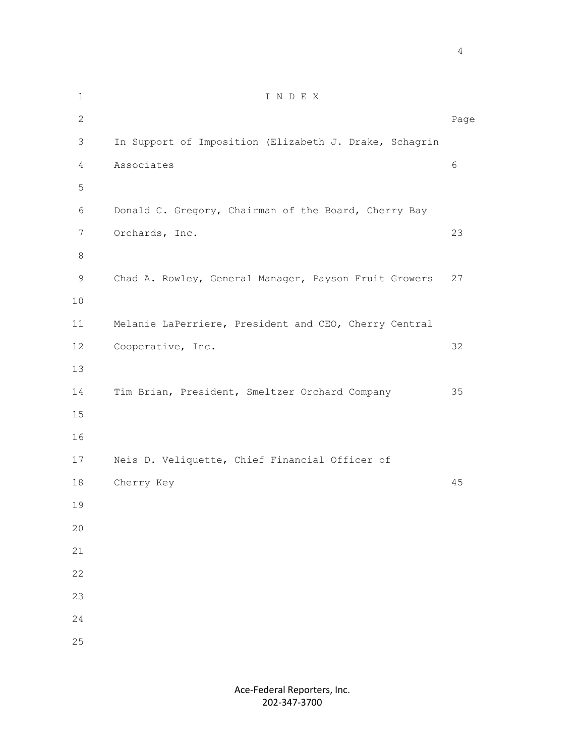1 I N D E X 2 December 2014 and 2014 and 2014 and 2014 and 2014 and 2014 and 2014 and 2014 and 2014 and 2014 and 2014 and 3 In Support of Imposition (Elizabeth J. Drake, Schagrin 4 Associates 6 5 6 Donald C. Gregory, Chairman of the Board, Cherry Bay 7 Orchards, Inc. 23 8 9 Chad A. Rowley, General Manager, Payson Fruit Growers 27 10 11 Melanie LaPerriere, President and CEO, Cherry Central 12 Cooperative, Inc. 32 13 14 Tim Brian, President, Smeltzer Orchard Company 35 15 16 17 Neis D. Veliquette, Chief Financial Officer of 18 Cherry Key 45 19 20 21 22 23 24 25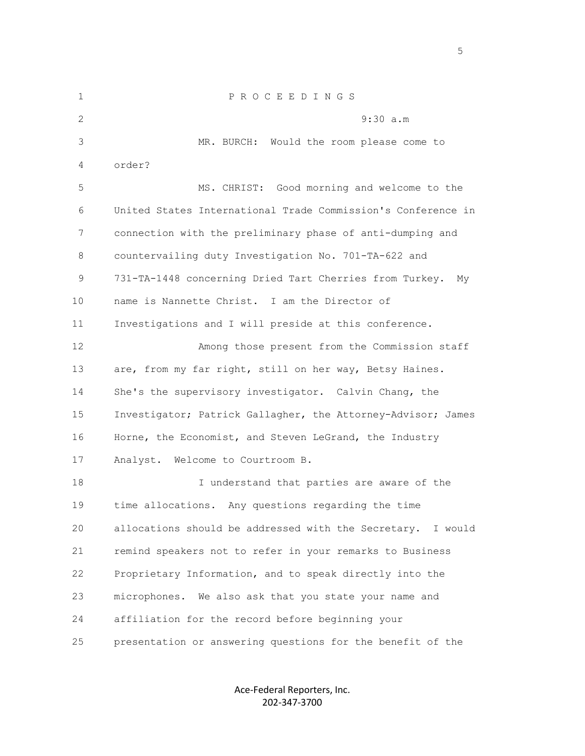1 P R O C E E D I N G S 2 9:30 a.m 3 MR. BURCH: Would the room please come to 4 order? 5 MS. CHRIST: Good morning and welcome to the 6 United States International Trade Commission's Conference in 7 connection with the preliminary phase of anti-dumping and 8 countervailing duty Investigation No. 701-TA-622 and 9 731-TA-1448 concerning Dried Tart Cherries from Turkey. My 10 name is Nannette Christ. I am the Director of 11 Investigations and I will preside at this conference. 12 Among those present from the Commission staff 13 are, from my far right, still on her way, Betsy Haines. 14 She's the supervisory investigator. Calvin Chang, the 15 Investigator; Patrick Gallagher, the Attorney-Advisor; James 16 Horne, the Economist, and Steven LeGrand, the Industry 17 Analyst. Welcome to Courtroom B. 18 I understand that parties are aware of the 19 time allocations. Any questions regarding the time 20 allocations should be addressed with the Secretary. I would 21 remind speakers not to refer in your remarks to Business 22 Proprietary Information, and to speak directly into the 23 microphones. We also ask that you state your name and 24 affiliation for the record before beginning your 25 presentation or answering questions for the benefit of the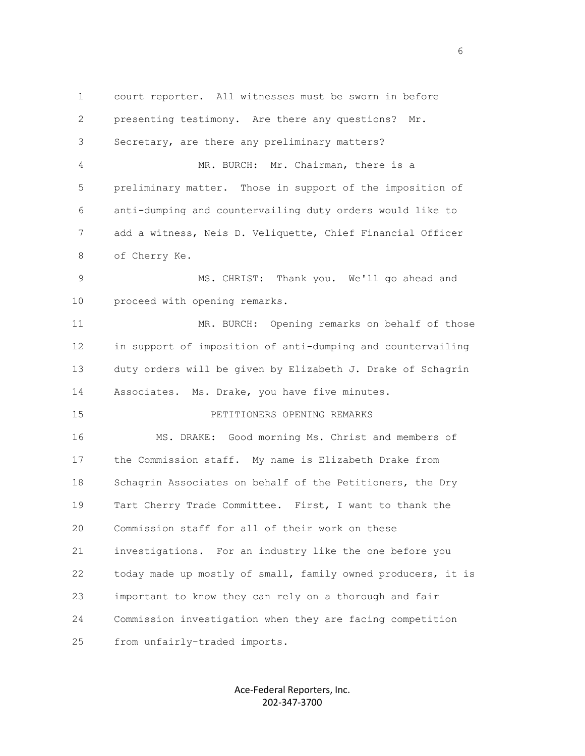1 court reporter. All witnesses must be sworn in before 2 presenting testimony. Are there any questions? Mr. 3 Secretary, are there any preliminary matters? 4 MR. BURCH: Mr. Chairman, there is a 5 preliminary matter. Those in support of the imposition of 6 anti-dumping and countervailing duty orders would like to 7 add a witness, Neis D. Veliquette, Chief Financial Officer 8 of Cherry Ke. 9 MS. CHRIST: Thank you. We'll go ahead and 10 proceed with opening remarks. 11 MR. BURCH: Opening remarks on behalf of those 12 in support of imposition of anti-dumping and countervailing 13 duty orders will be given by Elizabeth J. Drake of Schagrin 14 Associates. Ms. Drake, you have five minutes. 15 PETITIONERS OPENING REMARKS 16 MS. DRAKE: Good morning Ms. Christ and members of 17 the Commission staff. My name is Elizabeth Drake from 18 Schagrin Associates on behalf of the Petitioners, the Dry 19 Tart Cherry Trade Committee. First, I want to thank the 20 Commission staff for all of their work on these 21 investigations. For an industry like the one before you 22 today made up mostly of small, family owned producers, it is 23 important to know they can rely on a thorough and fair 24 Commission investigation when they are facing competition 25 from unfairly-traded imports.

> Ace-Federal Reporters, Inc. 202-347-3700

en de la construction de la construction de la construction de la construction de la construction de la constr<br>La construction de la construction de la construction de la construction de la construction de la construction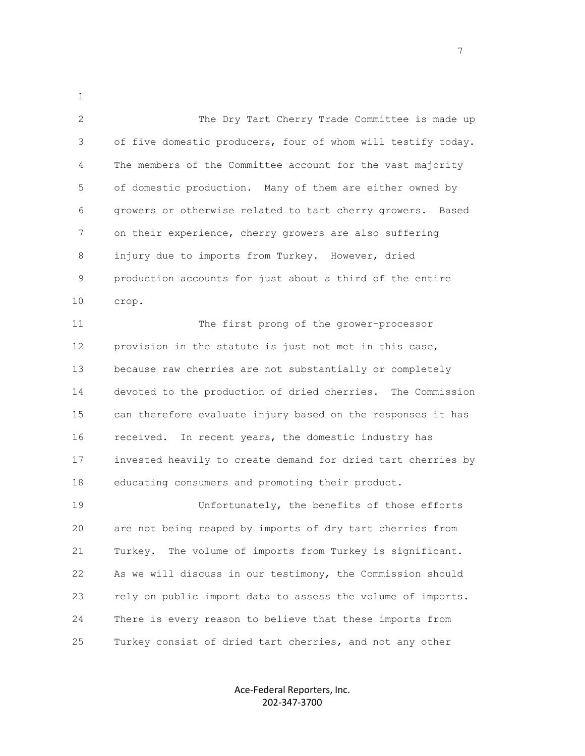2 The Dry Tart Cherry Trade Committee is made up 3 of five domestic producers, four of whom will testify today. 4 The members of the Committee account for the vast majority 5 of domestic production. Many of them are either owned by 6 growers or otherwise related to tart cherry growers. Based 7 on their experience, cherry growers are also suffering 8 injury due to imports from Turkey. However, dried 9 production accounts for just about a third of the entire 10 crop.

1

 11 The first prong of the grower-processor 12 provision in the statute is just not met in this case, 13 because raw cherries are not substantially or completely 14 devoted to the production of dried cherries. The Commission 15 can therefore evaluate injury based on the responses it has 16 received. In recent years, the domestic industry has 17 invested heavily to create demand for dried tart cherries by 18 educating consumers and promoting their product.

 19 Unfortunately, the benefits of those efforts 20 are not being reaped by imports of dry tart cherries from 21 Turkey. The volume of imports from Turkey is significant. 22 As we will discuss in our testimony, the Commission should 23 rely on public import data to assess the volume of imports. 24 There is every reason to believe that these imports from 25 Turkey consist of dried tart cherries, and not any other

> Ace-Federal Reporters, Inc. 202-347-3700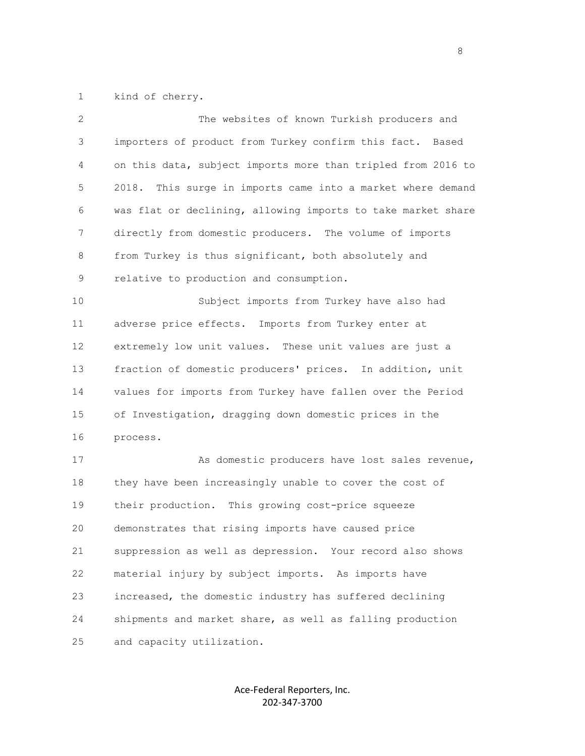1 kind of cherry.

| $\overline{2}$ | The websites of known Turkish producers and                    |
|----------------|----------------------------------------------------------------|
| 3              | importers of product from Turkey confirm this fact. Based      |
| 4              | on this data, subject imports more than tripled from 2016 to   |
| 5              | 2018.<br>This surge in imports came into a market where demand |
| 6              | was flat or declining, allowing imports to take market share   |
| 7              | directly from domestic producers. The volume of imports        |
| 8              | from Turkey is thus significant, both absolutely and           |
| 9              | relative to production and consumption.                        |
| 10             | Subject imports from Turkey have also had                      |
| 11             | adverse price effects. Imports from Turkey enter at            |
| 12             | extremely low unit values. These unit values are just a        |
| 13             | fraction of domestic producers' prices. In addition, unit      |
| 14             | values for imports from Turkey have fallen over the Period     |
| 15             | of Investigation, dragging down domestic prices in the         |
| 16             | process.                                                       |
| 17             | As domestic producers have lost sales revenue,                 |
| 18             | they have been increasingly unable to cover the cost of        |
| 19             | their production. This growing cost-price squeeze              |
| 20             | demonstrates that rising imports have caused price             |
| 21             | suppression as well as depression. Your record also shows      |
| 22             | material injury by subject imports. As imports have            |
| 23             | increased, the domestic industry has suffered declining        |
| 24             | shipments and market share, as well as falling production      |
| 25             | and capacity utilization.                                      |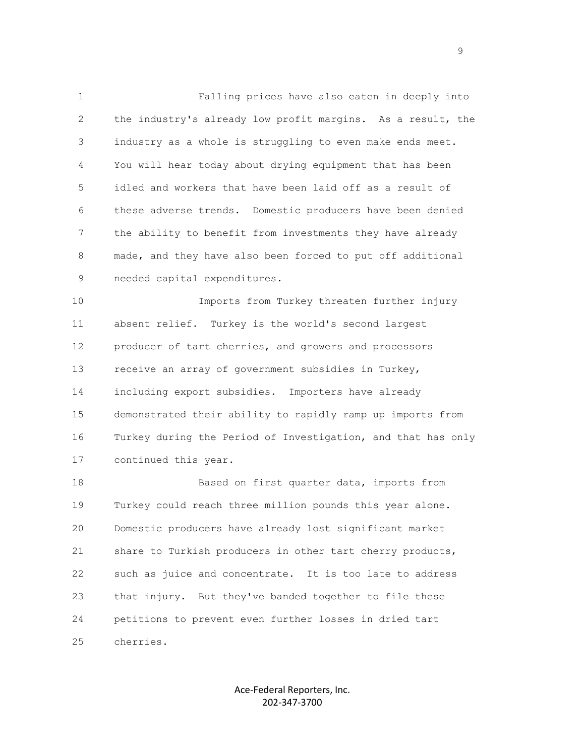1 Falling prices have also eaten in deeply into 2 the industry's already low profit margins. As a result, the 3 industry as a whole is struggling to even make ends meet. 4 You will hear today about drying equipment that has been 5 idled and workers that have been laid off as a result of 6 these adverse trends. Domestic producers have been denied 7 the ability to benefit from investments they have already 8 made, and they have also been forced to put off additional 9 needed capital expenditures.

 10 Imports from Turkey threaten further injury 11 absent relief. Turkey is the world's second largest 12 producer of tart cherries, and growers and processors 13 receive an array of government subsidies in Turkey, 14 including export subsidies. Importers have already 15 demonstrated their ability to rapidly ramp up imports from 16 Turkey during the Period of Investigation, and that has only 17 continued this year.

18 Based on first quarter data, imports from 19 Turkey could reach three million pounds this year alone. 20 Domestic producers have already lost significant market 21 share to Turkish producers in other tart cherry products, 22 such as juice and concentrate. It is too late to address 23 that injury. But they've banded together to file these 24 petitions to prevent even further losses in dried tart 25 cherries.

> Ace-Federal Reporters, Inc. 202-347-3700

en de la provincia de la provincia de la provincia de la provincia de la provincia de la provincia de la provi<br>Desenvolver de la provincia de la provincia de la provincia de la provincia de la provincia de la provincia de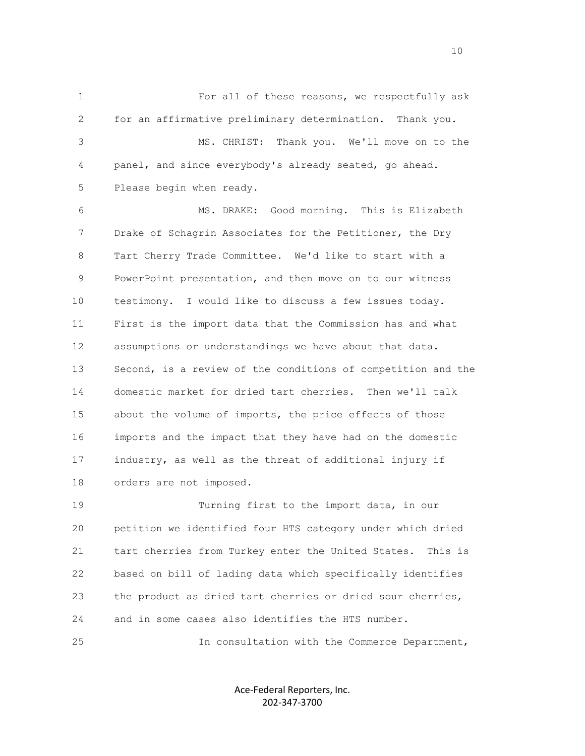1 For all of these reasons, we respectfully ask 2 for an affirmative preliminary determination. Thank you. 3 MS. CHRIST: Thank you. We'll move on to the 4 panel, and since everybody's already seated, go ahead. 5 Please begin when ready. 6 MS. DRAKE: Good morning. This is Elizabeth 7 Drake of Schagrin Associates for the Petitioner, the Dry 8 Tart Cherry Trade Committee. We'd like to start with a 9 PowerPoint presentation, and then move on to our witness 10 testimony. I would like to discuss a few issues today. 11 First is the import data that the Commission has and what 12 assumptions or understandings we have about that data. 13 Second, is a review of the conditions of competition and the 14 domestic market for dried tart cherries. Then we'll talk 15 about the volume of imports, the price effects of those 16 imports and the impact that they have had on the domestic 17 industry, as well as the threat of additional injury if 18 orders are not imposed. 19 Turning first to the import data, in our 20 petition we identified four HTS category under which dried

 21 tart cherries from Turkey enter the United States. This is 22 based on bill of lading data which specifically identifies 23 the product as dried tart cherries or dried sour cherries, 24 and in some cases also identifies the HTS number.

25 In consultation with the Commerce Department,

Ace-Federal Reporters, Inc. 202-347-3700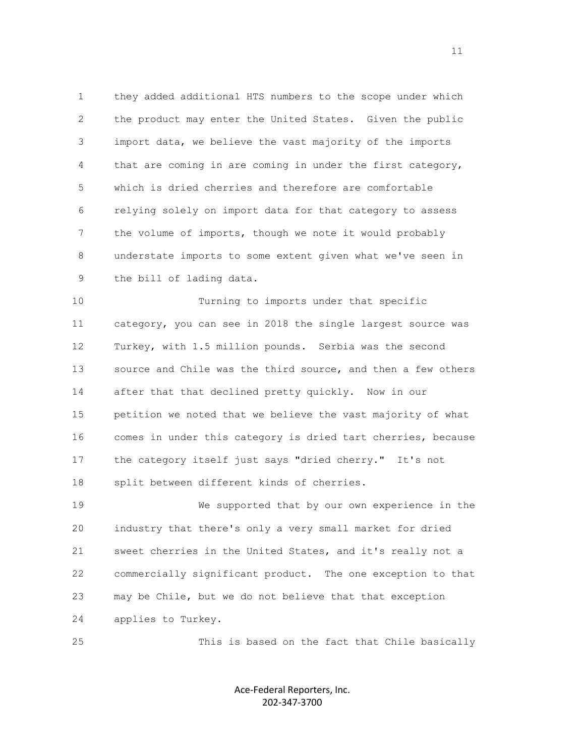1 they added additional HTS numbers to the scope under which 2 the product may enter the United States. Given the public 3 import data, we believe the vast majority of the imports 4 that are coming in are coming in under the first category, 5 which is dried cherries and therefore are comfortable 6 relying solely on import data for that category to assess 7 the volume of imports, though we note it would probably 8 understate imports to some extent given what we've seen in 9 the bill of lading data.

 10 Turning to imports under that specific 11 category, you can see in 2018 the single largest source was 12 Turkey, with 1.5 million pounds. Serbia was the second 13 source and Chile was the third source, and then a few others 14 after that that declined pretty quickly. Now in our 15 petition we noted that we believe the vast majority of what 16 comes in under this category is dried tart cherries, because 17 the category itself just says "dried cherry." It's not 18 split between different kinds of cherries.

 19 We supported that by our own experience in the 20 industry that there's only a very small market for dried 21 sweet cherries in the United States, and it's really not a 22 commercially significant product. The one exception to that 23 may be Chile, but we do not believe that that exception 24 applies to Turkey.

25 This is based on the fact that Chile basically

Ace-Federal Reporters, Inc. 202-347-3700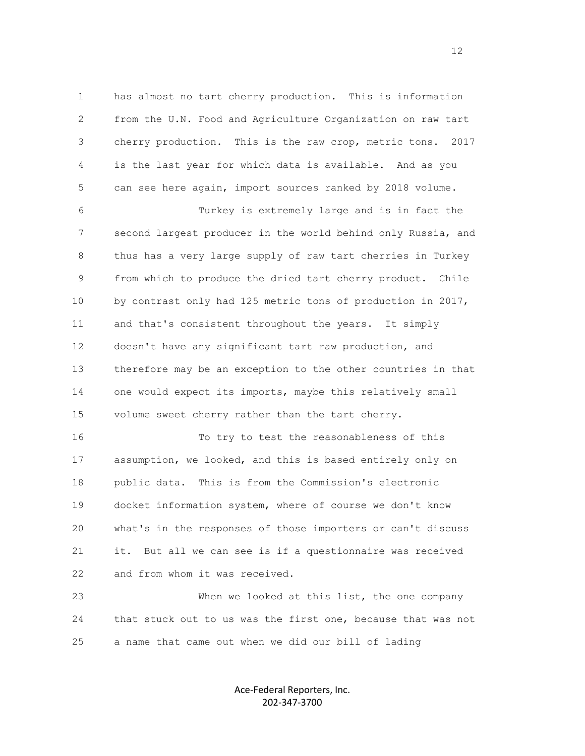1 has almost no tart cherry production. This is information 2 from the U.N. Food and Agriculture Organization on raw tart 3 cherry production. This is the raw crop, metric tons. 2017 4 is the last year for which data is available. And as you 5 can see here again, import sources ranked by 2018 volume.

 6 Turkey is extremely large and is in fact the 7 second largest producer in the world behind only Russia, and 8 thus has a very large supply of raw tart cherries in Turkey 9 from which to produce the dried tart cherry product. Chile 10 by contrast only had 125 metric tons of production in 2017, 11 and that's consistent throughout the years. It simply 12 doesn't have any significant tart raw production, and 13 therefore may be an exception to the other countries in that 14 one would expect its imports, maybe this relatively small 15 volume sweet cherry rather than the tart cherry.

 16 To try to test the reasonableness of this 17 assumption, we looked, and this is based entirely only on 18 public data. This is from the Commission's electronic 19 docket information system, where of course we don't know 20 what's in the responses of those importers or can't discuss 21 it. But all we can see is if a questionnaire was received 22 and from whom it was received.

 23 When we looked at this list, the one company 24 that stuck out to us was the first one, because that was not 25 a name that came out when we did our bill of lading

> Ace-Federal Reporters, Inc. 202-347-3700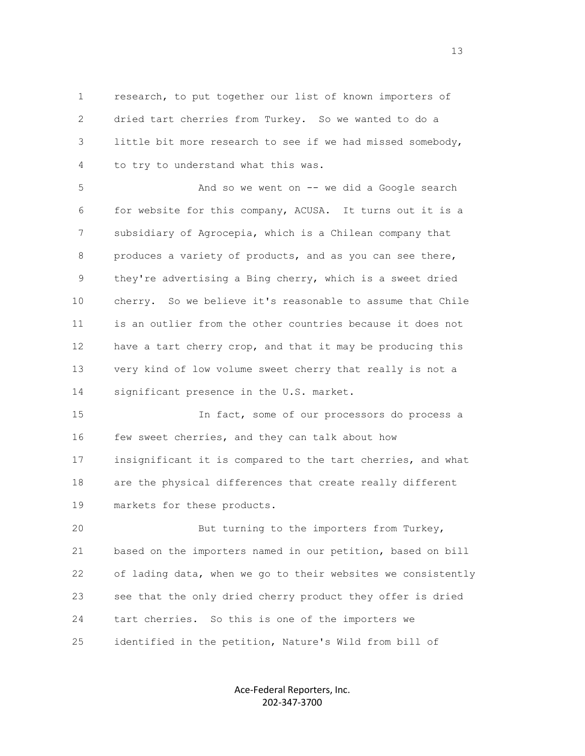1 research, to put together our list of known importers of 2 dried tart cherries from Turkey. So we wanted to do a 3 little bit more research to see if we had missed somebody, 4 to try to understand what this was.

 5 And so we went on -- we did a Google search 6 for website for this company, ACUSA. It turns out it is a 7 subsidiary of Agrocepia, which is a Chilean company that 8 produces a variety of products, and as you can see there, 9 they're advertising a Bing cherry, which is a sweet dried 10 cherry. So we believe it's reasonable to assume that Chile 11 is an outlier from the other countries because it does not 12 have a tart cherry crop, and that it may be producing this 13 very kind of low volume sweet cherry that really is not a 14 significant presence in the U.S. market.

 15 In fact, some of our processors do process a 16 few sweet cherries, and they can talk about how 17 insignificant it is compared to the tart cherries, and what 18 are the physical differences that create really different 19 markets for these products.

 20 But turning to the importers from Turkey, 21 based on the importers named in our petition, based on bill 22 of lading data, when we go to their websites we consistently 23 see that the only dried cherry product they offer is dried 24 tart cherries. So this is one of the importers we 25 identified in the petition, Nature's Wild from bill of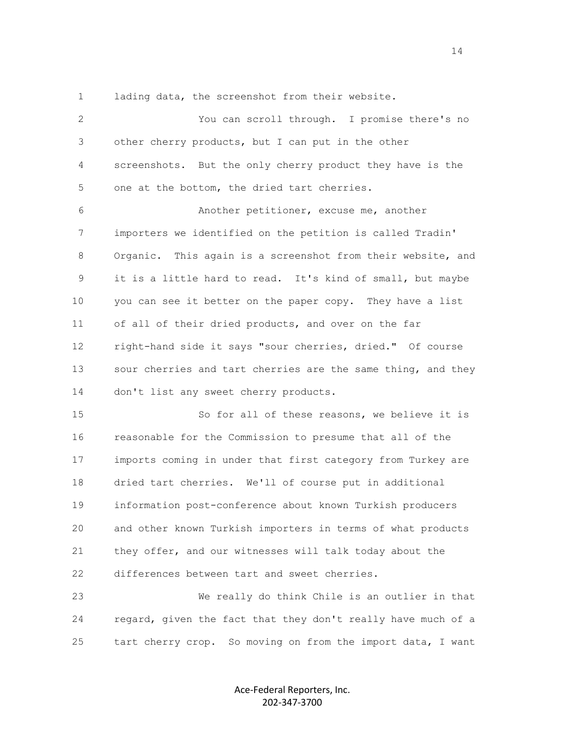1 lading data, the screenshot from their website.

 2 You can scroll through. I promise there's no 3 other cherry products, but I can put in the other 4 screenshots. But the only cherry product they have is the 5 one at the bottom, the dried tart cherries. 6 Another petitioner, excuse me, another 7 importers we identified on the petition is called Tradin' 8 Organic. This again is a screenshot from their website, and 9 it is a little hard to read. It's kind of small, but maybe 10 you can see it better on the paper copy. They have a list 11 of all of their dried products, and over on the far 12 right-hand side it says "sour cherries, dried." Of course 13 sour cherries and tart cherries are the same thing, and they 14 don't list any sweet cherry products. 15 So for all of these reasons, we believe it is 16 reasonable for the Commission to presume that all of the 17 imports coming in under that first category from Turkey are 18 dried tart cherries. We'll of course put in additional 19 information post-conference about known Turkish producers 20 and other known Turkish importers in terms of what products

 21 they offer, and our witnesses will talk today about the 22 differences between tart and sweet cherries.

 23 We really do think Chile is an outlier in that 24 regard, given the fact that they don't really have much of a 25 tart cherry crop. So moving on from the import data, I want

> Ace-Federal Reporters, Inc. 202-347-3700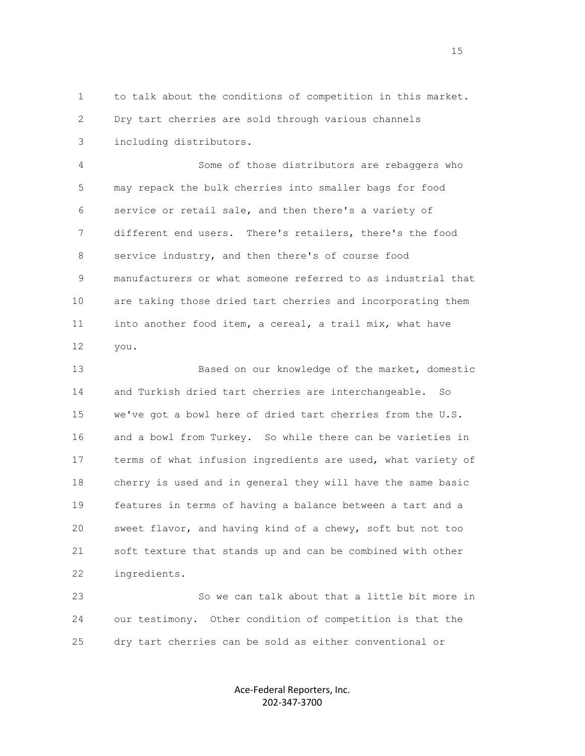1 to talk about the conditions of competition in this market. 2 Dry tart cherries are sold through various channels 3 including distributors.

 4 Some of those distributors are rebaggers who 5 may repack the bulk cherries into smaller bags for food 6 service or retail sale, and then there's a variety of 7 different end users. There's retailers, there's the food 8 service industry, and then there's of course food 9 manufacturers or what someone referred to as industrial that 10 are taking those dried tart cherries and incorporating them 11 into another food item, a cereal, a trail mix, what have 12 you.

 13 Based on our knowledge of the market, domestic 14 and Turkish dried tart cherries are interchangeable. So 15 we've got a bowl here of dried tart cherries from the U.S. 16 and a bowl from Turkey. So while there can be varieties in 17 terms of what infusion ingredients are used, what variety of 18 cherry is used and in general they will have the same basic 19 features in terms of having a balance between a tart and a 20 sweet flavor, and having kind of a chewy, soft but not too 21 soft texture that stands up and can be combined with other 22 ingredients.

 23 So we can talk about that a little bit more in 24 our testimony. Other condition of competition is that the 25 dry tart cherries can be sold as either conventional or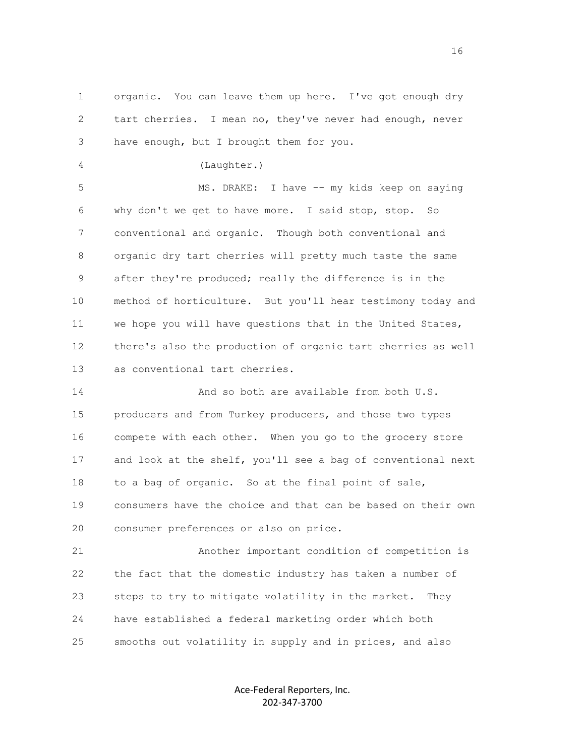1 organic. You can leave them up here. I've got enough dry 2 tart cherries. I mean no, they've never had enough, never 3 have enough, but I brought them for you.

4 (Laughter.)

 5 MS. DRAKE: I have -- my kids keep on saying 6 why don't we get to have more. I said stop, stop. So 7 conventional and organic. Though both conventional and 8 organic dry tart cherries will pretty much taste the same 9 after they're produced; really the difference is in the 10 method of horticulture. But you'll hear testimony today and 11 we hope you will have questions that in the United States, 12 there's also the production of organic tart cherries as well 13 as conventional tart cherries.

 14 And so both are available from both U.S. 15 producers and from Turkey producers, and those two types 16 compete with each other. When you go to the grocery store 17 and look at the shelf, you'll see a bag of conventional next 18 to a bag of organic. So at the final point of sale, 19 consumers have the choice and that can be based on their own 20 consumer preferences or also on price.

 21 Another important condition of competition is 22 the fact that the domestic industry has taken a number of 23 steps to try to mitigate volatility in the market. They 24 have established a federal marketing order which both 25 smooths out volatility in supply and in prices, and also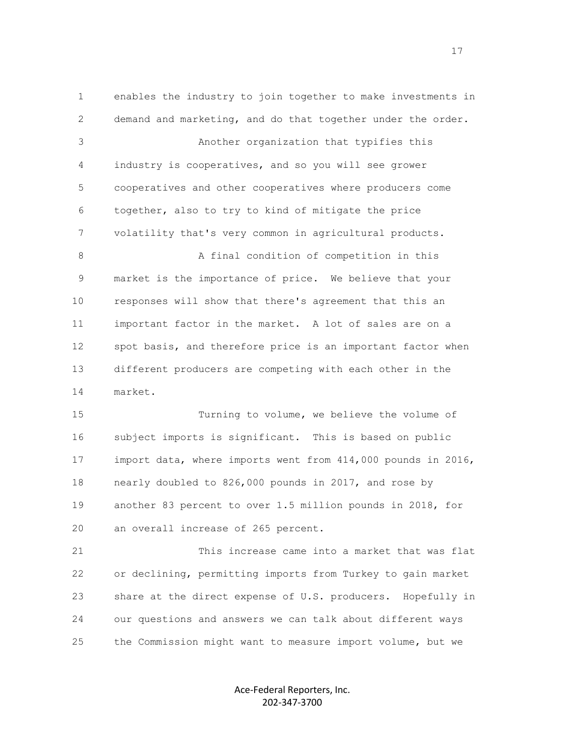1 enables the industry to join together to make investments in 2 demand and marketing, and do that together under the order. 3 Another organization that typifies this 4 industry is cooperatives, and so you will see grower 5 cooperatives and other cooperatives where producers come 6 together, also to try to kind of mitigate the price 7 volatility that's very common in agricultural products. 8 A final condition of competition in this 9 market is the importance of price. We believe that your 10 responses will show that there's agreement that this an 11 important factor in the market. A lot of sales are on a 12 spot basis, and therefore price is an important factor when 13 different producers are competing with each other in the 14 market. 15 Turning to volume, we believe the volume of 16 subject imports is significant. This is based on public 17 import data, where imports went from 414,000 pounds in 2016, 18 nearly doubled to 826,000 pounds in 2017, and rose by 19 another 83 percent to over 1.5 million pounds in 2018, for 20 an overall increase of 265 percent. 21 This increase came into a market that was flat 22 or declining, permitting imports from Turkey to gain market 23 share at the direct expense of U.S. producers. Hopefully in 24 our questions and answers we can talk about different ways 25 the Commission might want to measure import volume, but we

> Ace-Federal Reporters, Inc. 202-347-3700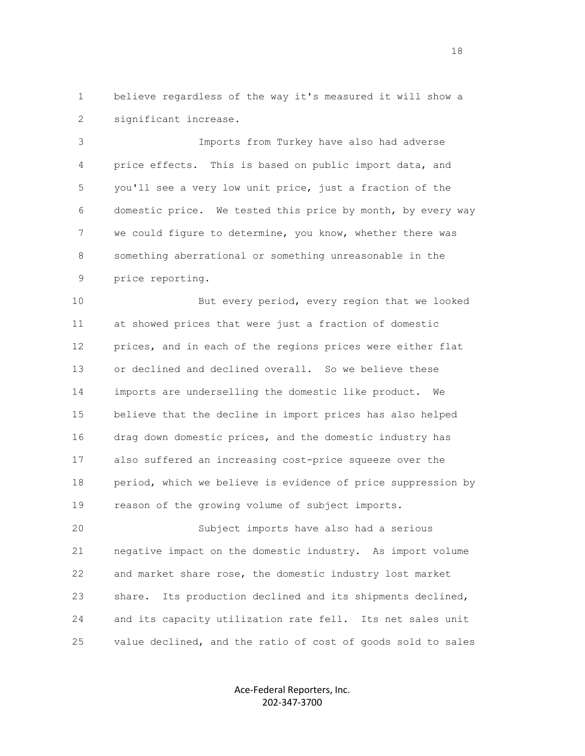1 believe regardless of the way it's measured it will show a 2 significant increase.

 3 Imports from Turkey have also had adverse 4 price effects. This is based on public import data, and 5 you'll see a very low unit price, just a fraction of the 6 domestic price. We tested this price by month, by every way 7 we could figure to determine, you know, whether there was 8 something aberrational or something unreasonable in the 9 price reporting.

 10 But every period, every region that we looked 11 at showed prices that were just a fraction of domestic 12 prices, and in each of the regions prices were either flat 13 or declined and declined overall. So we believe these 14 imports are underselling the domestic like product. We 15 believe that the decline in import prices has also helped 16 drag down domestic prices, and the domestic industry has 17 also suffered an increasing cost-price squeeze over the 18 period, which we believe is evidence of price suppression by 19 reason of the growing volume of subject imports.

 20 Subject imports have also had a serious 21 negative impact on the domestic industry. As import volume 22 and market share rose, the domestic industry lost market 23 share. Its production declined and its shipments declined, 24 and its capacity utilization rate fell. Its net sales unit 25 value declined, and the ratio of cost of goods sold to sales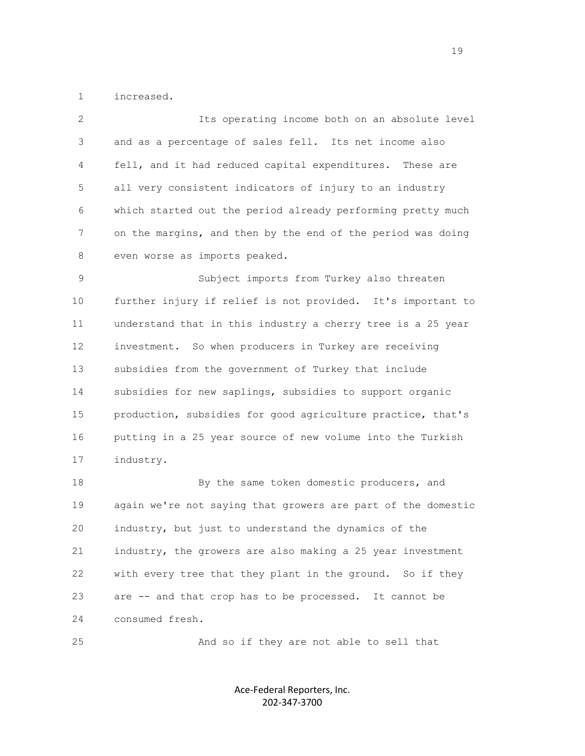1 increased.

 2 Its operating income both on an absolute level 3 and as a percentage of sales fell. Its net income also 4 fell, and it had reduced capital expenditures. These are 5 all very consistent indicators of injury to an industry 6 which started out the period already performing pretty much 7 on the margins, and then by the end of the period was doing 8 even worse as imports peaked. 9 Subject imports from Turkey also threaten 10 further injury if relief is not provided. It's important to 11 understand that in this industry a cherry tree is a 25 year 12 investment. So when producers in Turkey are receiving 13 subsidies from the government of Turkey that include 14 subsidies for new saplings, subsidies to support organic 15 production, subsidies for good agriculture practice, that's 16 putting in a 25 year source of new volume into the Turkish 17 industry. 18 By the same token domestic producers, and 19 again we're not saying that growers are part of the domestic 20 industry, but just to understand the dynamics of the 21 industry, the growers are also making a 25 year investment 22 with every tree that they plant in the ground. So if they 23 are -- and that crop has to be processed. It cannot be 24 consumed fresh.

25 And so if they are not able to sell that

Ace-Federal Reporters, Inc. 202-347-3700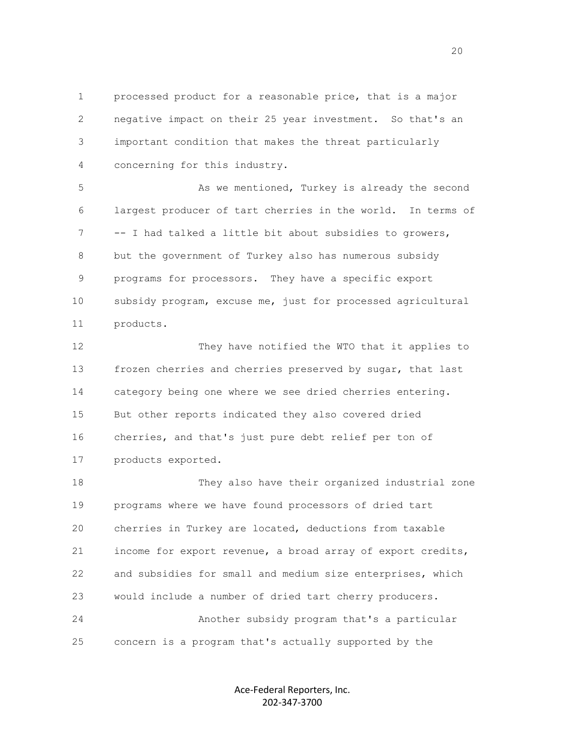1 processed product for a reasonable price, that is a major 2 negative impact on their 25 year investment. So that's an 3 important condition that makes the threat particularly 4 concerning for this industry.

 5 As we mentioned, Turkey is already the second 6 largest producer of tart cherries in the world. In terms of 7 -- I had talked a little bit about subsidies to growers, 8 but the government of Turkey also has numerous subsidy 9 programs for processors. They have a specific export 10 subsidy program, excuse me, just for processed agricultural 11 products.

 12 They have notified the WTO that it applies to 13 frozen cherries and cherries preserved by sugar, that last 14 category being one where we see dried cherries entering. 15 But other reports indicated they also covered dried 16 cherries, and that's just pure debt relief per ton of 17 products exported.

 18 They also have their organized industrial zone 19 programs where we have found processors of dried tart 20 cherries in Turkey are located, deductions from taxable 21 income for export revenue, a broad array of export credits, 22 and subsidies for small and medium size enterprises, which 23 would include a number of dried tart cherry producers. 24 Another subsidy program that's a particular 25 concern is a program that's actually supported by the

> Ace-Federal Reporters, Inc. 202-347-3700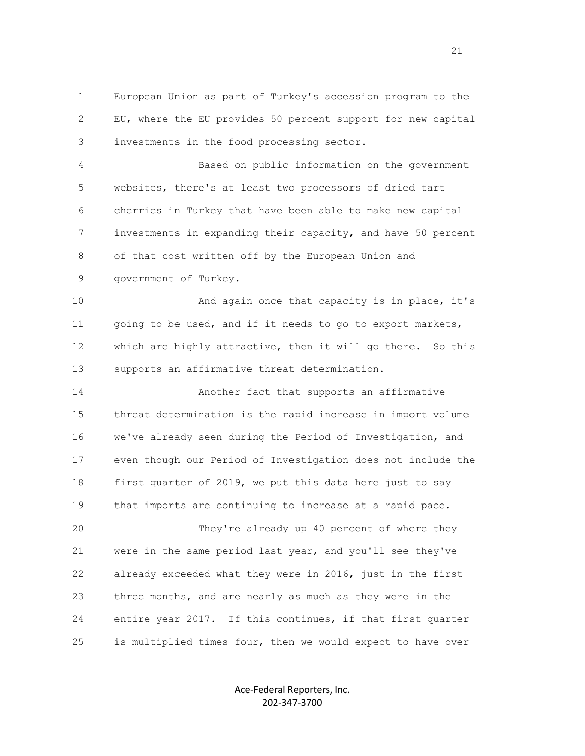1 European Union as part of Turkey's accession program to the 2 EU, where the EU provides 50 percent support for new capital 3 investments in the food processing sector.

 4 Based on public information on the government 5 websites, there's at least two processors of dried tart 6 cherries in Turkey that have been able to make new capital 7 investments in expanding their capacity, and have 50 percent 8 of that cost written off by the European Union and 9 government of Turkey.

10 And again once that capacity is in place, it's 11 going to be used, and if it needs to go to export markets, 12 which are highly attractive, then it will go there. So this 13 supports an affirmative threat determination.

 14 Another fact that supports an affirmative 15 threat determination is the rapid increase in import volume 16 we've already seen during the Period of Investigation, and 17 even though our Period of Investigation does not include the 18 first quarter of 2019, we put this data here just to say 19 that imports are continuing to increase at a rapid pace. 20 They're already up 40 percent of where they 21 were in the same period last year, and you'll see they've

 22 already exceeded what they were in 2016, just in the first 23 three months, and are nearly as much as they were in the 24 entire year 2017. If this continues, if that first quarter 25 is multiplied times four, then we would expect to have over

> Ace-Federal Reporters, Inc. 202-347-3700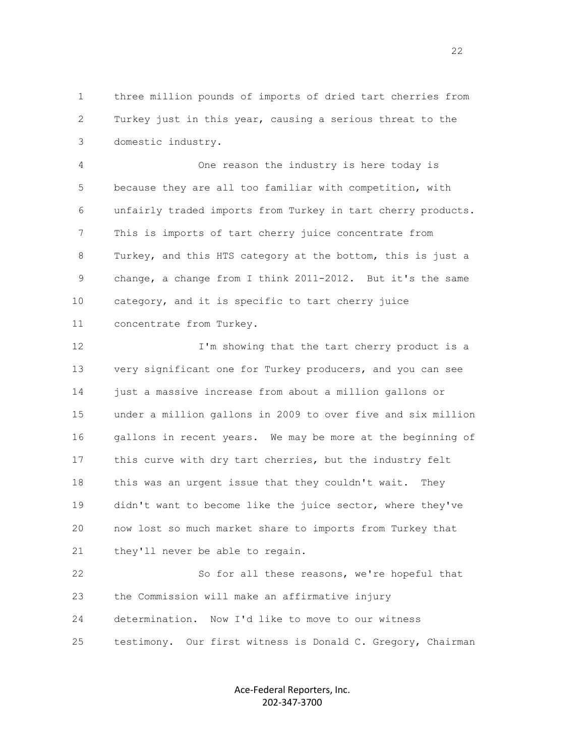1 three million pounds of imports of dried tart cherries from 2 Turkey just in this year, causing a serious threat to the 3 domestic industry.

 4 One reason the industry is here today is 5 because they are all too familiar with competition, with 6 unfairly traded imports from Turkey in tart cherry products. 7 This is imports of tart cherry juice concentrate from 8 Turkey, and this HTS category at the bottom, this is just a 9 change, a change from I think 2011-2012. But it's the same 10 category, and it is specific to tart cherry juice 11 concentrate from Turkey.

12 I'm showing that the tart cherry product is a 13 very significant one for Turkey producers, and you can see 14 just a massive increase from about a million gallons or 15 under a million gallons in 2009 to over five and six million 16 gallons in recent years. We may be more at the beginning of 17 this curve with dry tart cherries, but the industry felt 18 this was an urgent issue that they couldn't wait. They 19 didn't want to become like the juice sector, where they've 20 now lost so much market share to imports from Turkey that 21 they'll never be able to regain.

 22 So for all these reasons, we're hopeful that 23 the Commission will make an affirmative injury 24 determination. Now I'd like to move to our witness 25 testimony. Our first witness is Donald C. Gregory, Chairman

> Ace-Federal Reporters, Inc. 202-347-3700

22 and 22 and 23 and 23 and 23 and 23 and 23 and 23 and 23 and 23 and 23 and 23 and 23 and 23 and 23 and 24 and 25 and 26 and 26 and 26 and 26 and 26 and 26 and 26 and 26 and 26 and 26 and 26 and 26 and 26 and 26 and 26 an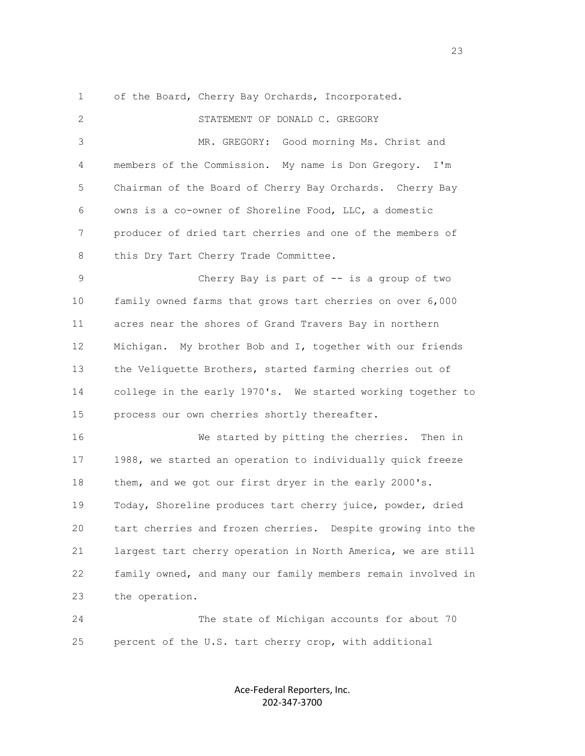1 of the Board, Cherry Bay Orchards, Incorporated.

 2 STATEMENT OF DONALD C. GREGORY 3 MR. GREGORY: Good morning Ms. Christ and 4 members of the Commission. My name is Don Gregory. I'm 5 Chairman of the Board of Cherry Bay Orchards. Cherry Bay 6 owns is a co-owner of Shoreline Food, LLC, a domestic 7 producer of dried tart cherries and one of the members of 8 this Dry Tart Cherry Trade Committee. 9 Cherry Bay is part of -- is a group of two 10 family owned farms that grows tart cherries on over 6,000 11 acres near the shores of Grand Travers Bay in northern 12 Michigan. My brother Bob and I, together with our friends 13 the Veliquette Brothers, started farming cherries out of 14 college in the early 1970's. We started working together to 15 process our own cherries shortly thereafter. 16 We started by pitting the cherries. Then in 17 1988, we started an operation to individually quick freeze 18 them, and we got our first dryer in the early 2000's. 19 Today, Shoreline produces tart cherry juice, powder, dried 20 tart cherries and frozen cherries. Despite growing into the 21 largest tart cherry operation in North America, we are still 22 family owned, and many our family members remain involved in 23 the operation. 24 The state of Michigan accounts for about 70

> Ace-Federal Reporters, Inc. 202-347-3700

25 percent of the U.S. tart cherry crop, with additional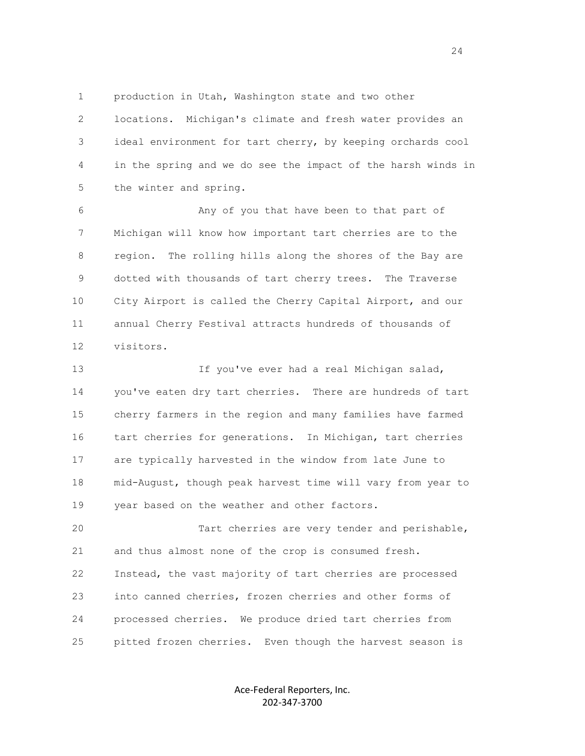1 production in Utah, Washington state and two other

 2 locations. Michigan's climate and fresh water provides an 3 ideal environment for tart cherry, by keeping orchards cool 4 in the spring and we do see the impact of the harsh winds in 5 the winter and spring.

 6 Any of you that have been to that part of 7 Michigan will know how important tart cherries are to the 8 region. The rolling hills along the shores of the Bay are 9 dotted with thousands of tart cherry trees. The Traverse 10 City Airport is called the Cherry Capital Airport, and our 11 annual Cherry Festival attracts hundreds of thousands of 12 visitors.

 13 If you've ever had a real Michigan salad, 14 you've eaten dry tart cherries. There are hundreds of tart 15 cherry farmers in the region and many families have farmed 16 tart cherries for generations. In Michigan, tart cherries 17 are typically harvested in the window from late June to 18 mid-August, though peak harvest time will vary from year to 19 year based on the weather and other factors.

 20 Tart cherries are very tender and perishable, 21 and thus almost none of the crop is consumed fresh. 22 Instead, the vast majority of tart cherries are processed 23 into canned cherries, frozen cherries and other forms of 24 processed cherries. We produce dried tart cherries from 25 pitted frozen cherries. Even though the harvest season is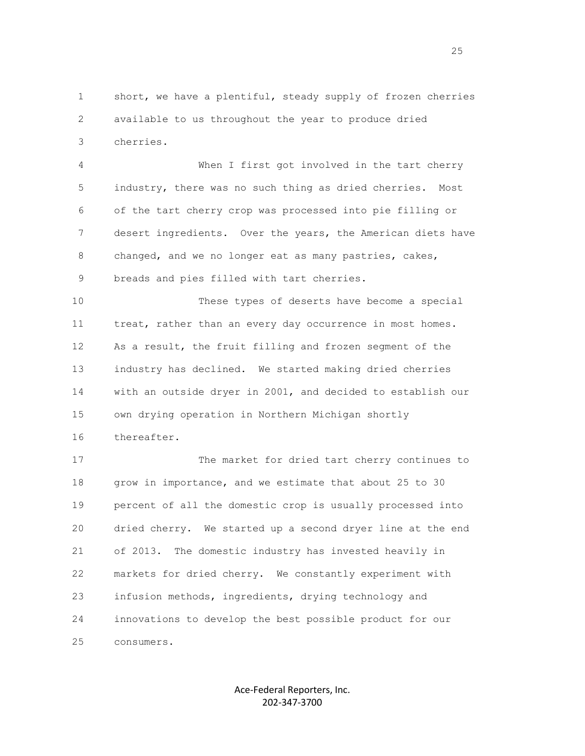1 short, we have a plentiful, steady supply of frozen cherries 2 available to us throughout the year to produce dried 3 cherries.

 4 When I first got involved in the tart cherry 5 industry, there was no such thing as dried cherries. Most 6 of the tart cherry crop was processed into pie filling or 7 desert ingredients. Over the years, the American diets have 8 changed, and we no longer eat as many pastries, cakes, 9 breads and pies filled with tart cherries.

 10 These types of deserts have become a special 11 treat, rather than an every day occurrence in most homes. 12 As a result, the fruit filling and frozen segment of the 13 industry has declined. We started making dried cherries 14 with an outside dryer in 2001, and decided to establish our 15 own drying operation in Northern Michigan shortly 16 thereafter.

 17 The market for dried tart cherry continues to 18 grow in importance, and we estimate that about 25 to 30 19 percent of all the domestic crop is usually processed into 20 dried cherry. We started up a second dryer line at the end 21 of 2013. The domestic industry has invested heavily in 22 markets for dried cherry. We constantly experiment with 23 infusion methods, ingredients, drying technology and 24 innovations to develop the best possible product for our 25 consumers.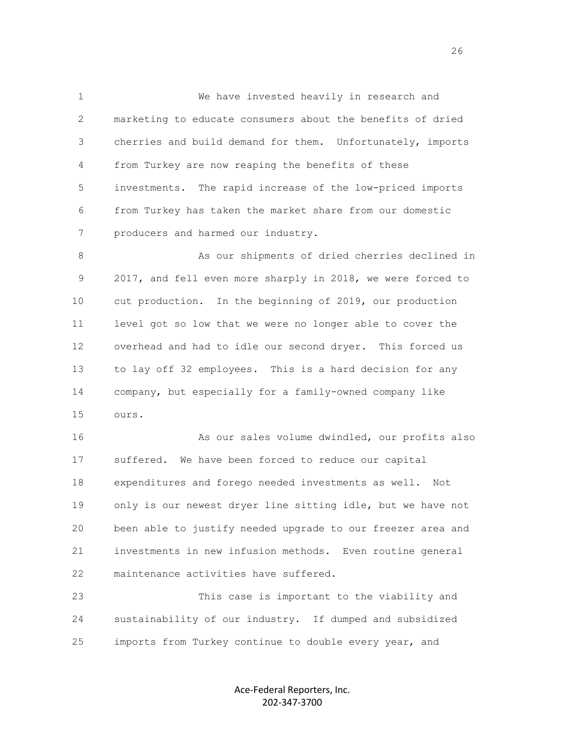1 We have invested heavily in research and 2 marketing to educate consumers about the benefits of dried 3 cherries and build demand for them. Unfortunately, imports 4 from Turkey are now reaping the benefits of these 5 investments. The rapid increase of the low-priced imports 6 from Turkey has taken the market share from our domestic 7 producers and harmed our industry.

8 As our shipments of dried cherries declined in 9 2017, and fell even more sharply in 2018, we were forced to 10 cut production. In the beginning of 2019, our production 11 level got so low that we were no longer able to cover the 12 overhead and had to idle our second dryer. This forced us 13 to lay off 32 employees. This is a hard decision for any 14 company, but especially for a family-owned company like 15 ours.

 16 As our sales volume dwindled, our profits also 17 suffered. We have been forced to reduce our capital 18 expenditures and forego needed investments as well. Not 19 only is our newest dryer line sitting idle, but we have not 20 been able to justify needed upgrade to our freezer area and 21 investments in new infusion methods. Even routine general 22 maintenance activities have suffered.

 23 This case is important to the viability and 24 sustainability of our industry. If dumped and subsidized 25 imports from Turkey continue to double every year, and

> Ace-Federal Reporters, Inc. 202-347-3700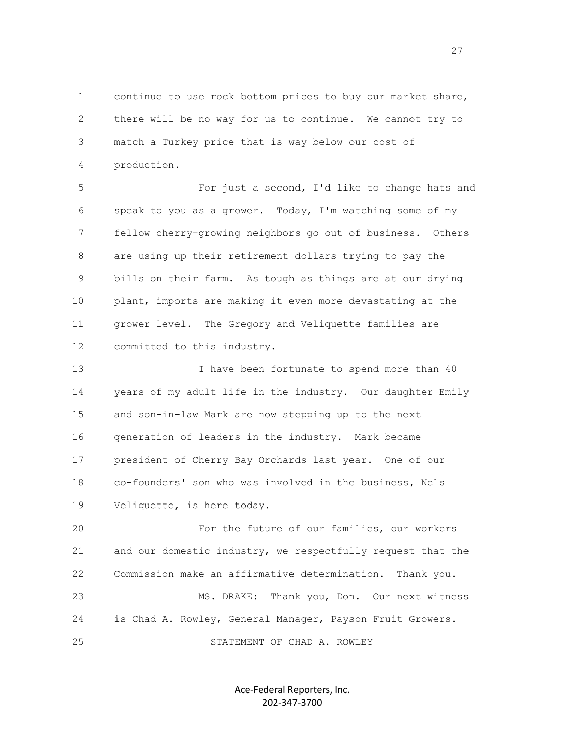1 continue to use rock bottom prices to buy our market share, 2 there will be no way for us to continue. We cannot try to 3 match a Turkey price that is way below our cost of 4 production.

 5 For just a second, I'd like to change hats and 6 speak to you as a grower. Today, I'm watching some of my 7 fellow cherry-growing neighbors go out of business. Others 8 are using up their retirement dollars trying to pay the 9 bills on their farm. As tough as things are at our drying 10 plant, imports are making it even more devastating at the 11 grower level. The Gregory and Veliquette families are 12 committed to this industry.

13 I have been fortunate to spend more than 40 14 years of my adult life in the industry. Our daughter Emily 15 and son-in-law Mark are now stepping up to the next 16 generation of leaders in the industry. Mark became 17 president of Cherry Bay Orchards last year. One of our 18 co-founders' son who was involved in the business, Nels 19 Veliquette, is here today.

 20 For the future of our families, our workers 21 and our domestic industry, we respectfully request that the 22 Commission make an affirmative determination. Thank you. 23 MS. DRAKE: Thank you, Don. Our next witness 24 is Chad A. Rowley, General Manager, Payson Fruit Growers. 25 STATEMENT OF CHAD A. ROWLEY

> Ace-Federal Reporters, Inc. 202-347-3700

<u>27</u>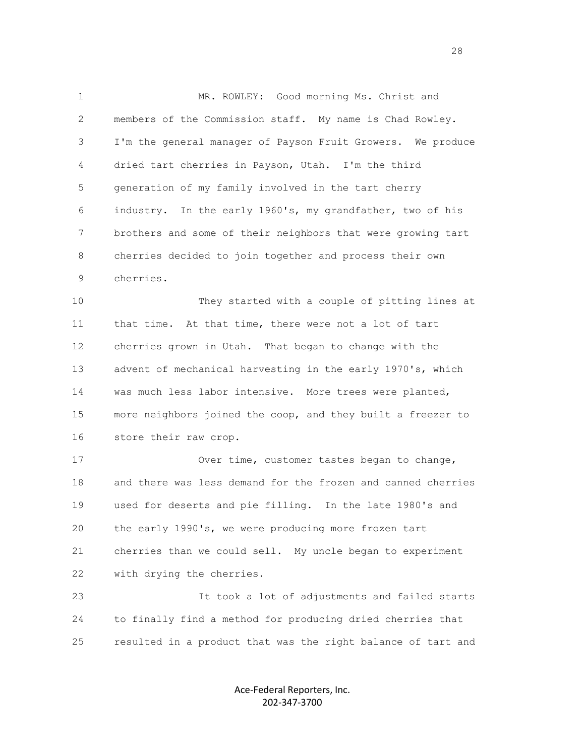1 MR. ROWLEY: Good morning Ms. Christ and 2 members of the Commission staff. My name is Chad Rowley. 3 I'm the general manager of Payson Fruit Growers. We produce 4 dried tart cherries in Payson, Utah. I'm the third 5 generation of my family involved in the tart cherry 6 industry. In the early 1960's, my grandfather, two of his 7 brothers and some of their neighbors that were growing tart 8 cherries decided to join together and process their own 9 cherries.

 10 They started with a couple of pitting lines at 11 that time. At that time, there were not a lot of tart 12 cherries grown in Utah. That began to change with the 13 advent of mechanical harvesting in the early 1970's, which 14 was much less labor intensive. More trees were planted, 15 more neighbors joined the coop, and they built a freezer to 16 store their raw crop.

 17 Over time, customer tastes began to change, 18 and there was less demand for the frozen and canned cherries 19 used for deserts and pie filling. In the late 1980's and 20 the early 1990's, we were producing more frozen tart 21 cherries than we could sell. My uncle began to experiment 22 with drying the cherries.

 23 It took a lot of adjustments and failed starts 24 to finally find a method for producing dried cherries that 25 resulted in a product that was the right balance of tart and

> Ace-Federal Reporters, Inc. 202-347-3700

<u>28</u> and the contract of the contract of the contract of the contract of the contract of the contract of the contract of the contract of the contract of the contract of the contract of the contract of the contract of the c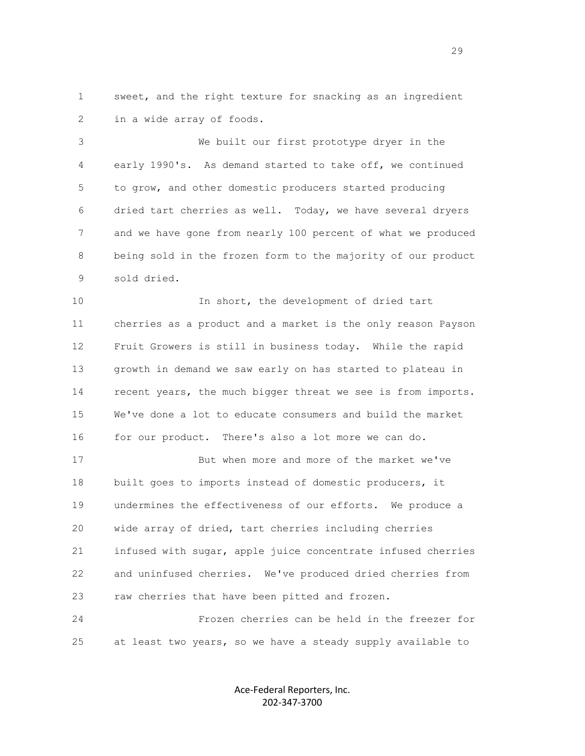1 sweet, and the right texture for snacking as an ingredient 2 in a wide array of foods.

 3 We built our first prototype dryer in the 4 early 1990's. As demand started to take off, we continued 5 to grow, and other domestic producers started producing 6 dried tart cherries as well. Today, we have several dryers 7 and we have gone from nearly 100 percent of what we produced 8 being sold in the frozen form to the majority of our product 9 sold dried.

 10 In short, the development of dried tart 11 cherries as a product and a market is the only reason Payson 12 Fruit Growers is still in business today. While the rapid 13 growth in demand we saw early on has started to plateau in 14 recent years, the much bigger threat we see is from imports. 15 We've done a lot to educate consumers and build the market 16 for our product. There's also a lot more we can do.

 17 But when more and more of the market we've 18 built goes to imports instead of domestic producers, it 19 undermines the effectiveness of our efforts. We produce a 20 wide array of dried, tart cherries including cherries 21 infused with sugar, apple juice concentrate infused cherries 22 and uninfused cherries. We've produced dried cherries from 23 raw cherries that have been pitted and frozen.

 24 Frozen cherries can be held in the freezer for 25 at least two years, so we have a steady supply available to

> Ace-Federal Reporters, Inc. 202-347-3700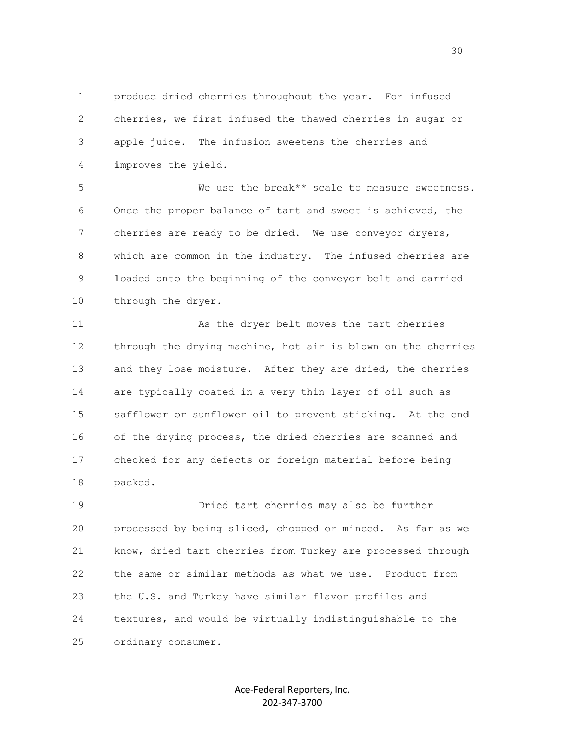1 produce dried cherries throughout the year. For infused 2 cherries, we first infused the thawed cherries in sugar or 3 apple juice. The infusion sweetens the cherries and 4 improves the yield.

 5 We use the break\*\* scale to measure sweetness. 6 Once the proper balance of tart and sweet is achieved, the 7 cherries are ready to be dried. We use conveyor dryers, 8 which are common in the industry. The infused cherries are 9 loaded onto the beginning of the conveyor belt and carried 10 through the dryer.

 11 As the dryer belt moves the tart cherries 12 through the drying machine, hot air is blown on the cherries 13 and they lose moisture. After they are dried, the cherries 14 are typically coated in a very thin layer of oil such as 15 safflower or sunflower oil to prevent sticking. At the end 16 of the drying process, the dried cherries are scanned and 17 checked for any defects or foreign material before being 18 packed.

 19 Dried tart cherries may also be further 20 processed by being sliced, chopped or minced. As far as we 21 know, dried tart cherries from Turkey are processed through 22 the same or similar methods as what we use. Product from 23 the U.S. and Turkey have similar flavor profiles and 24 textures, and would be virtually indistinguishable to the 25 ordinary consumer.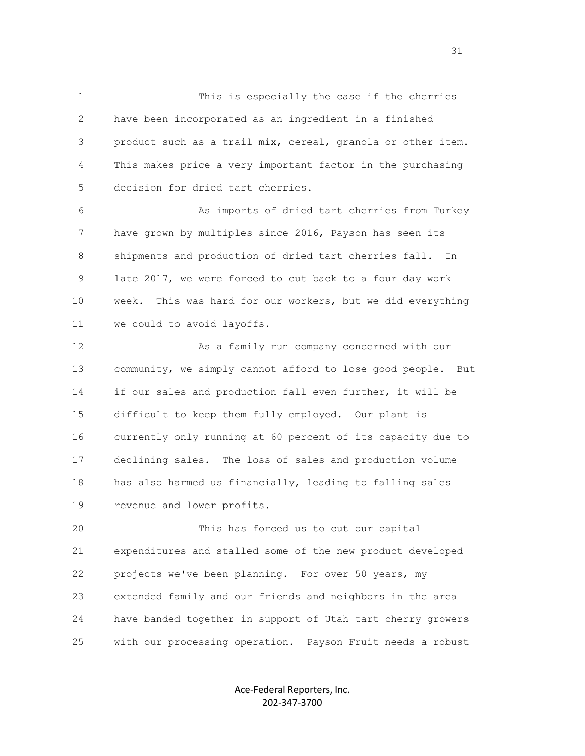1 This is especially the case if the cherries 2 have been incorporated as an ingredient in a finished 3 product such as a trail mix, cereal, granola or other item. 4 This makes price a very important factor in the purchasing 5 decision for dried tart cherries.

 6 As imports of dried tart cherries from Turkey 7 have grown by multiples since 2016, Payson has seen its 8 shipments and production of dried tart cherries fall. In 9 late 2017, we were forced to cut back to a four day work 10 week. This was hard for our workers, but we did everything 11 we could to avoid layoffs.

 12 As a family run company concerned with our 13 community, we simply cannot afford to lose good people. But 14 if our sales and production fall even further, it will be 15 difficult to keep them fully employed. Our plant is 16 currently only running at 60 percent of its capacity due to 17 declining sales. The loss of sales and production volume 18 has also harmed us financially, leading to falling sales 19 revenue and lower profits.

 20 This has forced us to cut our capital 21 expenditures and stalled some of the new product developed 22 projects we've been planning. For over 50 years, my 23 extended family and our friends and neighbors in the area 24 have banded together in support of Utah tart cherry growers 25 with our processing operation. Payson Fruit needs a robust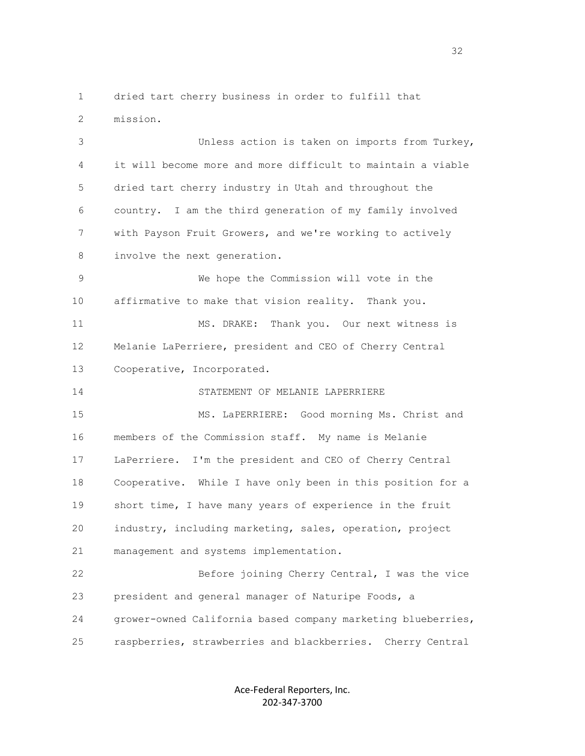1 dried tart cherry business in order to fulfill that 2 mission.

 3 Unless action is taken on imports from Turkey, 4 it will become more and more difficult to maintain a viable 5 dried tart cherry industry in Utah and throughout the 6 country. I am the third generation of my family involved 7 with Payson Fruit Growers, and we're working to actively 8 involve the next generation.

 9 We hope the Commission will vote in the 10 affirmative to make that vision reality. Thank you.

 11 MS. DRAKE: Thank you. Our next witness is 12 Melanie LaPerriere, president and CEO of Cherry Central 13 Cooperative, Incorporated.

14 STATEMENT OF MELANIE LAPERRIERE

 15 MS. LaPERRIERE: Good morning Ms. Christ and 16 members of the Commission staff. My name is Melanie 17 LaPerriere. I'm the president and CEO of Cherry Central 18 Cooperative. While I have only been in this position for a 19 short time, I have many years of experience in the fruit 20 industry, including marketing, sales, operation, project 21 management and systems implementation.

 22 Before joining Cherry Central, I was the vice 23 president and general manager of Naturipe Foods, a 24 grower-owned California based company marketing blueberries, 25 raspberries, strawberries and blackberries. Cherry Central

> Ace-Federal Reporters, Inc. 202-347-3700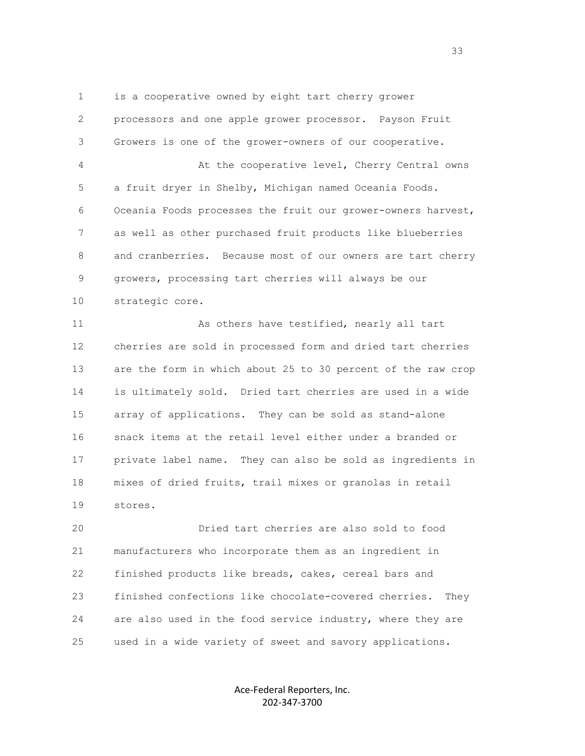1 is a cooperative owned by eight tart cherry grower 2 processors and one apple grower processor. Payson Fruit 3 Growers is one of the grower-owners of our cooperative. 4 At the cooperative level, Cherry Central owns 5 a fruit dryer in Shelby, Michigan named Oceania Foods. 6 Oceania Foods processes the fruit our grower-owners harvest, 7 as well as other purchased fruit products like blueberries 8 and cranberries. Because most of our owners are tart cherry 9 growers, processing tart cherries will always be our 10 strategic core.

 11 As others have testified, nearly all tart 12 cherries are sold in processed form and dried tart cherries 13 are the form in which about 25 to 30 percent of the raw crop 14 is ultimately sold. Dried tart cherries are used in a wide 15 array of applications. They can be sold as stand-alone 16 snack items at the retail level either under a branded or 17 private label name. They can also be sold as ingredients in 18 mixes of dried fruits, trail mixes or granolas in retail 19 stores.

 20 Dried tart cherries are also sold to food 21 manufacturers who incorporate them as an ingredient in 22 finished products like breads, cakes, cereal bars and 23 finished confections like chocolate-covered cherries. They 24 are also used in the food service industry, where they are 25 used in a wide variety of sweet and savory applications.

> Ace-Federal Reporters, Inc. 202-347-3700

<u>33 and the state of the state of the state of the state of the state of the state of the state of the state of the state of the state of the state of the state of the state of the state of the state of the state of the st</u>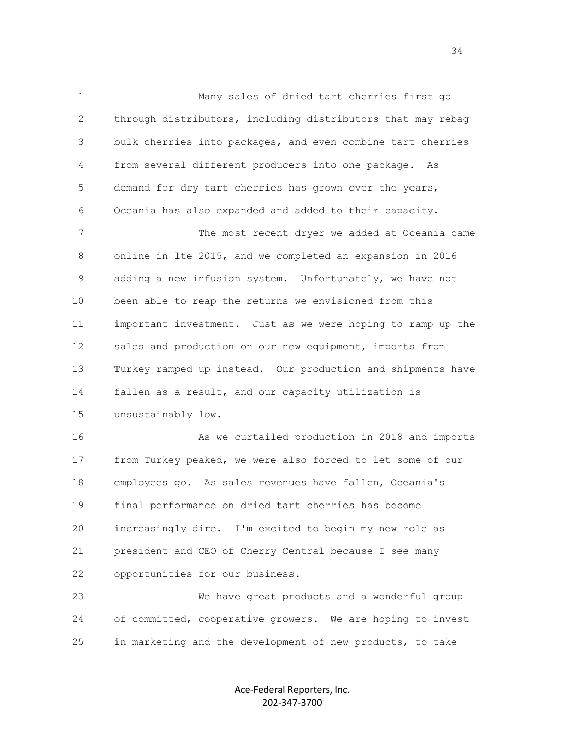1 Many sales of dried tart cherries first go 2 through distributors, including distributors that may rebag 3 bulk cherries into packages, and even combine tart cherries 4 from several different producers into one package. As 5 demand for dry tart cherries has grown over the years, 6 Oceania has also expanded and added to their capacity.

 7 The most recent dryer we added at Oceania came 8 online in lte 2015, and we completed an expansion in 2016 9 adding a new infusion system. Unfortunately, we have not 10 been able to reap the returns we envisioned from this 11 important investment. Just as we were hoping to ramp up the 12 sales and production on our new equipment, imports from 13 Turkey ramped up instead. Our production and shipments have 14 fallen as a result, and our capacity utilization is 15 unsustainably low.

 16 As we curtailed production in 2018 and imports 17 from Turkey peaked, we were also forced to let some of our 18 employees go. As sales revenues have fallen, Oceania's 19 final performance on dried tart cherries has become 20 increasingly dire. I'm excited to begin my new role as 21 president and CEO of Cherry Central because I see many 22 opportunities for our business.

 23 We have great products and a wonderful group 24 of committed, cooperative growers. We are hoping to invest 25 in marketing and the development of new products, to take

> Ace-Federal Reporters, Inc. 202-347-3700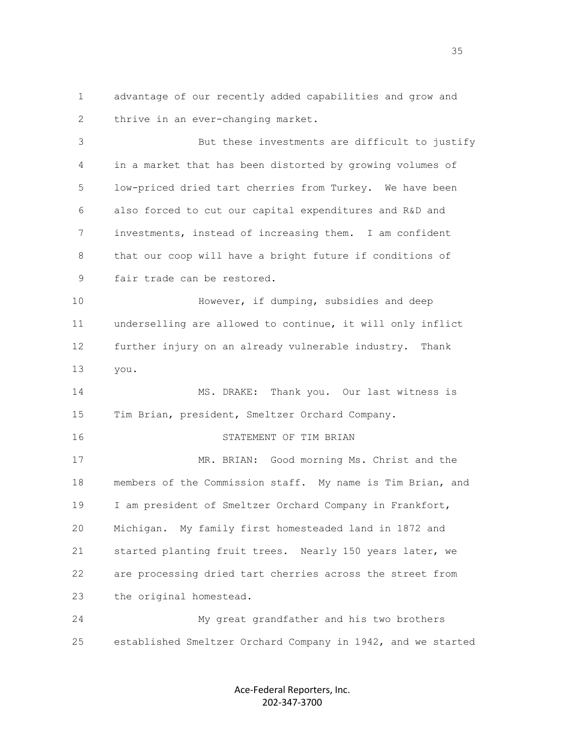1 advantage of our recently added capabilities and grow and 2 thrive in an ever-changing market.

 3 But these investments are difficult to justify 4 in a market that has been distorted by growing volumes of 5 low-priced dried tart cherries from Turkey. We have been 6 also forced to cut our capital expenditures and R&D and 7 investments, instead of increasing them. I am confident 8 that our coop will have a bright future if conditions of 9 fair trade can be restored.

 10 However, if dumping, subsidies and deep 11 underselling are allowed to continue, it will only inflict 12 further injury on an already vulnerable industry. Thank 13 you.

 14 MS. DRAKE: Thank you. Our last witness is 15 Tim Brian, president, Smeltzer Orchard Company.

## 16 STATEMENT OF TIM BRIAN

 17 MR. BRIAN: Good morning Ms. Christ and the 18 members of the Commission staff. My name is Tim Brian, and 19 I am president of Smeltzer Orchard Company in Frankfort, 20 Michigan. My family first homesteaded land in 1872 and 21 started planting fruit trees. Nearly 150 years later, we 22 are processing dried tart cherries across the street from 23 the original homestead.

 24 My great grandfather and his two brothers 25 established Smeltzer Orchard Company in 1942, and we started

> Ace-Federal Reporters, Inc. 202-347-3700

<u>35 September 2005 September 2005 September 2005 September 2005 September 2005 September 2005 September 2005 S</u>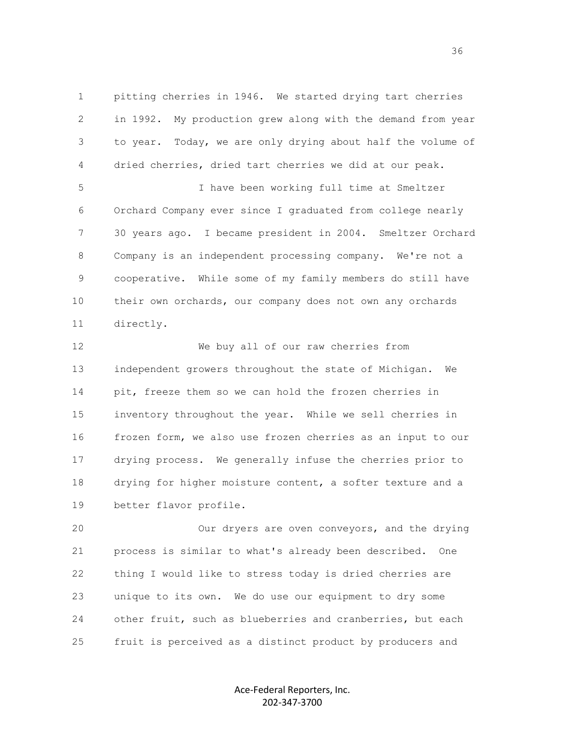1 pitting cherries in 1946. We started drying tart cherries 2 in 1992. My production grew along with the demand from year 3 to year. Today, we are only drying about half the volume of 4 dried cherries, dried tart cherries we did at our peak. 5 I have been working full time at Smeltzer 6 Orchard Company ever since I graduated from college nearly 7 30 years ago. I became president in 2004. Smeltzer Orchard 8 Company is an independent processing company. We're not a

 9 cooperative. While some of my family members do still have 10 their own orchards, our company does not own any orchards 11 directly.

 12 We buy all of our raw cherries from 13 independent growers throughout the state of Michigan. We 14 pit, freeze them so we can hold the frozen cherries in 15 inventory throughout the year. While we sell cherries in 16 frozen form, we also use frozen cherries as an input to our 17 drying process. We generally infuse the cherries prior to 18 drying for higher moisture content, a softer texture and a 19 better flavor profile.

 20 Our dryers are oven conveyors, and the drying 21 process is similar to what's already been described. One 22 thing I would like to stress today is dried cherries are 23 unique to its own. We do use our equipment to dry some 24 other fruit, such as blueberries and cranberries, but each 25 fruit is perceived as a distinct product by producers and

> Ace-Federal Reporters, Inc. 202-347-3700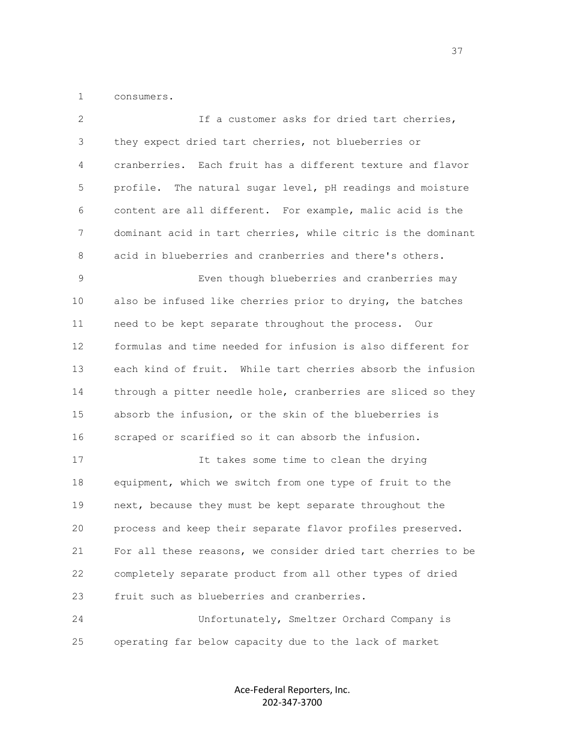1 consumers.

| 2  | If a customer asks for dried tart cherries,                   |
|----|---------------------------------------------------------------|
| 3  | they expect dried tart cherries, not blueberries or           |
| 4  | cranberries. Each fruit has a different texture and flavor    |
| 5  | The natural sugar level, pH readings and moisture<br>profile. |
| 6  | content are all different. For example, malic acid is the     |
| 7  | dominant acid in tart cherries, while citric is the dominant  |
| 8  | acid in blueberries and cranberries and there's others.       |
| 9  | Even though blueberries and cranberries may                   |
| 10 | also be infused like cherries prior to drying, the batches    |
| 11 | need to be kept separate throughout the process. Our          |
| 12 | formulas and time needed for infusion is also different for   |
| 13 | each kind of fruit. While tart cherries absorb the infusion   |
| 14 | through a pitter needle hole, cranberries are sliced so they  |
| 15 | absorb the infusion, or the skin of the blueberries is        |
| 16 | scraped or scarified so it can absorb the infusion.           |
| 17 | It takes some time to clean the drying                        |
| 18 | equipment, which we switch from one type of fruit to the      |
| 19 | next, because they must be kept separate throughout the       |
| 20 | process and keep their separate flavor profiles preserved.    |
| 21 | For all these reasons, we consider dried tart cherries to be  |
| 22 | completely separate product from all other types of dried     |
| 23 | fruit such as blueberries and cranberries.                    |
| 24 | Unfortunately, Smeltzer Orchard Company is                    |
| 25 | operating far below capacity due to the lack of market        |

Ace-Federal Reporters, Inc. 202-347-3700

<u>37</u>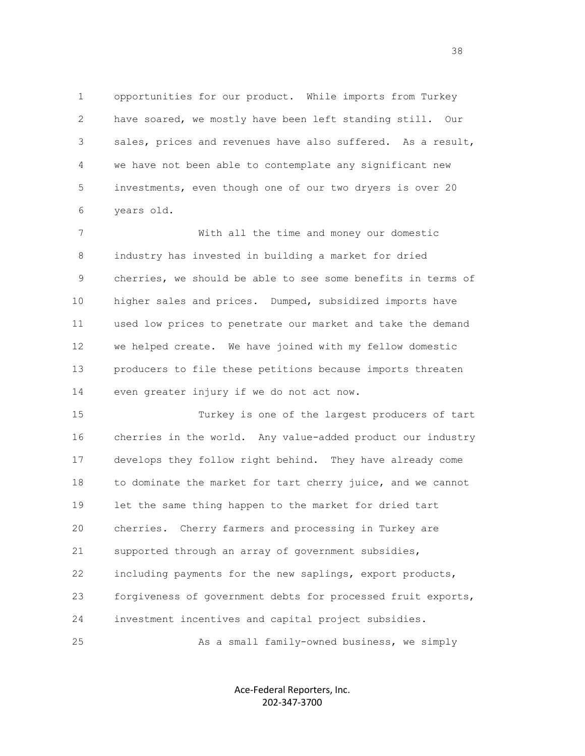1 opportunities for our product. While imports from Turkey 2 have soared, we mostly have been left standing still. Our 3 sales, prices and revenues have also suffered. As a result, 4 we have not been able to contemplate any significant new 5 investments, even though one of our two dryers is over 20 6 years old.

 7 With all the time and money our domestic 8 industry has invested in building a market for dried 9 cherries, we should be able to see some benefits in terms of 10 higher sales and prices. Dumped, subsidized imports have 11 used low prices to penetrate our market and take the demand 12 we helped create. We have joined with my fellow domestic 13 producers to file these petitions because imports threaten 14 even greater injury if we do not act now.

 15 Turkey is one of the largest producers of tart 16 cherries in the world. Any value-added product our industry 17 develops they follow right behind. They have already come 18 to dominate the market for tart cherry juice, and we cannot 19 let the same thing happen to the market for dried tart 20 cherries. Cherry farmers and processing in Turkey are 21 supported through an array of government subsidies, 22 including payments for the new saplings, export products, 23 forgiveness of government debts for processed fruit exports, 24 investment incentives and capital project subsidies.

25 As a small family-owned business, we simply

Ace-Federal Reporters, Inc. 202-347-3700

<u>38 and 2001 and 2001 and 2001 and 2001 and 2001 and 2001 and 2001 and 2001 and 2001 and 2001 and 2001 and 200</u>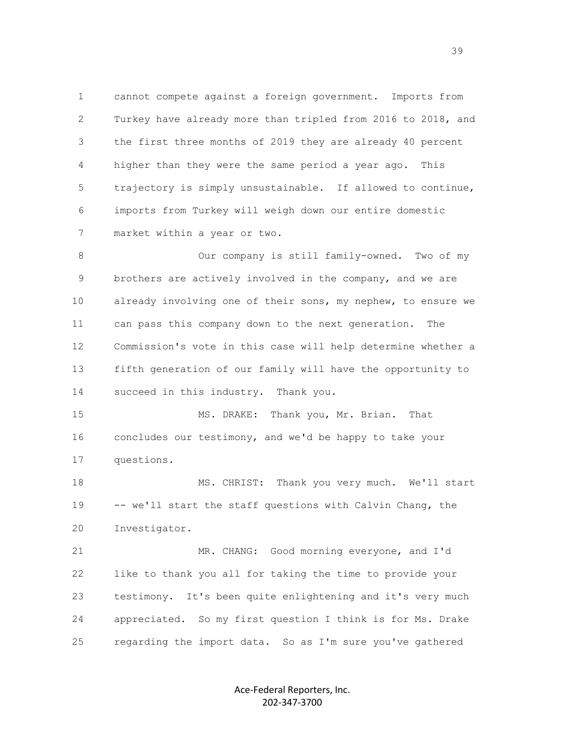1 cannot compete against a foreign government. Imports from 2 Turkey have already more than tripled from 2016 to 2018, and 3 the first three months of 2019 they are already 40 percent 4 higher than they were the same period a year ago. This 5 trajectory is simply unsustainable. If allowed to continue, 6 imports from Turkey will weigh down our entire domestic 7 market within a year or two.

 8 Our company is still family-owned. Two of my 9 brothers are actively involved in the company, and we are 10 already involving one of their sons, my nephew, to ensure we 11 can pass this company down to the next generation. The 12 Commission's vote in this case will help determine whether a 13 fifth generation of our family will have the opportunity to 14 succeed in this industry. Thank you.

15 MS. DRAKE: Thank you, Mr. Brian. That 16 concludes our testimony, and we'd be happy to take your 17 questions.

 18 MS. CHRIST: Thank you very much. We'll start 19 -- we'll start the staff questions with Calvin Chang, the 20 Investigator.

 21 MR. CHANG: Good morning everyone, and I'd 22 like to thank you all for taking the time to provide your 23 testimony. It's been quite enlightening and it's very much 24 appreciated. So my first question I think is for Ms. Drake 25 regarding the import data. So as I'm sure you've gathered

> Ace-Federal Reporters, Inc. 202-347-3700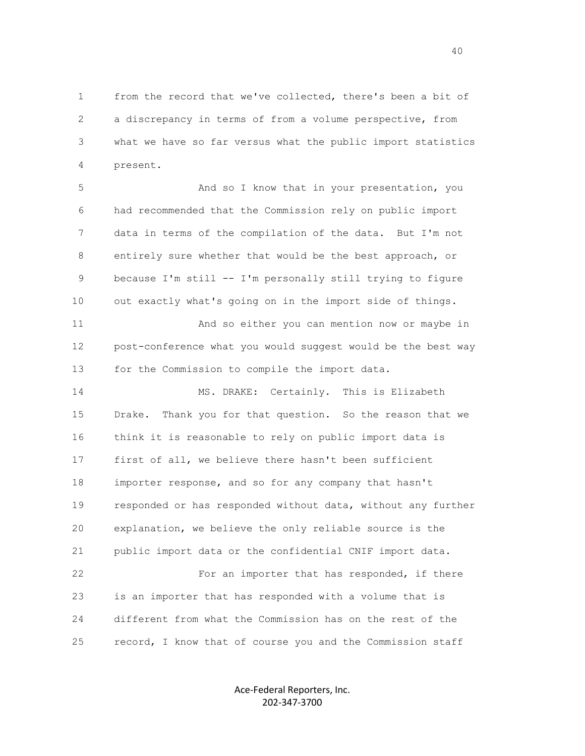1 from the record that we've collected, there's been a bit of 2 a discrepancy in terms of from a volume perspective, from 3 what we have so far versus what the public import statistics 4 present.

 5 And so I know that in your presentation, you 6 had recommended that the Commission rely on public import 7 data in terms of the compilation of the data. But I'm not 8 entirely sure whether that would be the best approach, or 9 because I'm still -- I'm personally still trying to figure 10 out exactly what's going on in the import side of things.

 11 And so either you can mention now or maybe in 12 post-conference what you would suggest would be the best way 13 for the Commission to compile the import data.

 14 MS. DRAKE: Certainly. This is Elizabeth 15 Drake. Thank you for that question. So the reason that we 16 think it is reasonable to rely on public import data is 17 first of all, we believe there hasn't been sufficient 18 importer response, and so for any company that hasn't 19 responded or has responded without data, without any further 20 explanation, we believe the only reliable source is the 21 public import data or the confidential CNIF import data. 22 For an importer that has responded, if there 23 is an importer that has responded with a volume that is 24 different from what the Commission has on the rest of the 25 record, I know that of course you and the Commission staff

> Ace-Federal Reporters, Inc. 202-347-3700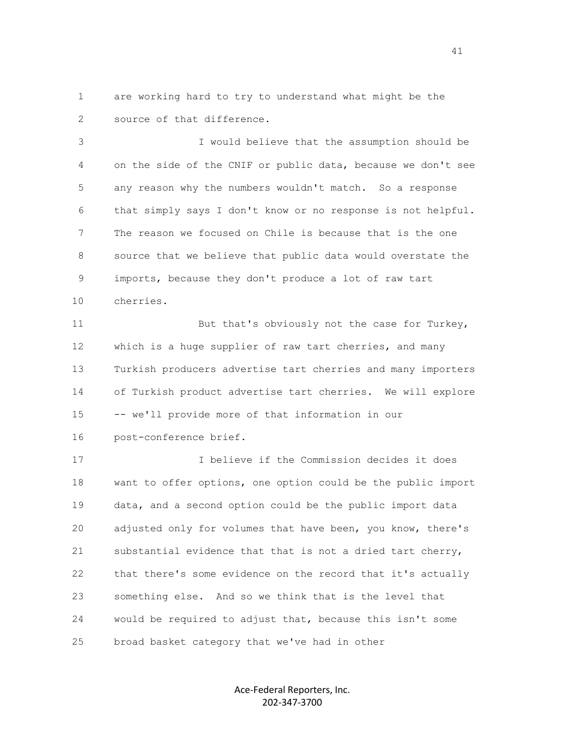1 are working hard to try to understand what might be the 2 source of that difference.

 3 I would believe that the assumption should be 4 on the side of the CNIF or public data, because we don't see 5 any reason why the numbers wouldn't match. So a response 6 that simply says I don't know or no response is not helpful. 7 The reason we focused on Chile is because that is the one 8 source that we believe that public data would overstate the 9 imports, because they don't produce a lot of raw tart 10 cherries.

11 But that's obviously not the case for Turkey, 12 which is a huge supplier of raw tart cherries, and many 13 Turkish producers advertise tart cherries and many importers 14 of Turkish product advertise tart cherries. We will explore 15 -- we'll provide more of that information in our 16 post-conference brief.

 17 I believe if the Commission decides it does 18 want to offer options, one option could be the public import 19 data, and a second option could be the public import data 20 adjusted only for volumes that have been, you know, there's 21 substantial evidence that that is not a dried tart cherry, 22 that there's some evidence on the record that it's actually 23 something else. And so we think that is the level that 24 would be required to adjust that, because this isn't some 25 broad basket category that we've had in other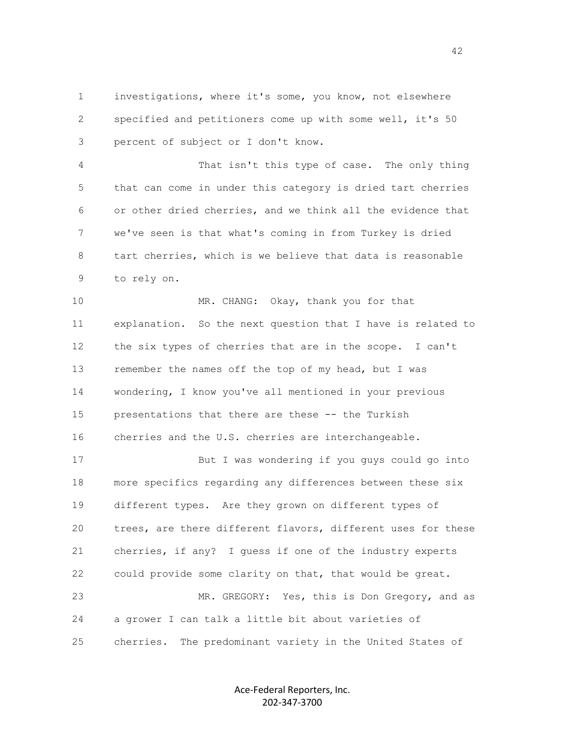1 investigations, where it's some, you know, not elsewhere 2 specified and petitioners come up with some well, it's 50 3 percent of subject or I don't know.

 4 That isn't this type of case. The only thing 5 that can come in under this category is dried tart cherries 6 or other dried cherries, and we think all the evidence that 7 we've seen is that what's coming in from Turkey is dried 8 tart cherries, which is we believe that data is reasonable 9 to rely on.

10 MR. CHANG: Okay, thank you for that 11 explanation. So the next question that I have is related to 12 the six types of cherries that are in the scope. I can't 13 remember the names off the top of my head, but I was 14 wondering, I know you've all mentioned in your previous 15 presentations that there are these -- the Turkish 16 cherries and the U.S. cherries are interchangeable.

 17 But I was wondering if you guys could go into 18 more specifics regarding any differences between these six 19 different types. Are they grown on different types of 20 trees, are there different flavors, different uses for these 21 cherries, if any? I guess if one of the industry experts 22 could provide some clarity on that, that would be great. 23 MR. GREGORY: Yes, this is Don Gregory, and as 24 a grower I can talk a little bit about varieties of 25 cherries. The predominant variety in the United States of

> Ace-Federal Reporters, Inc. 202-347-3700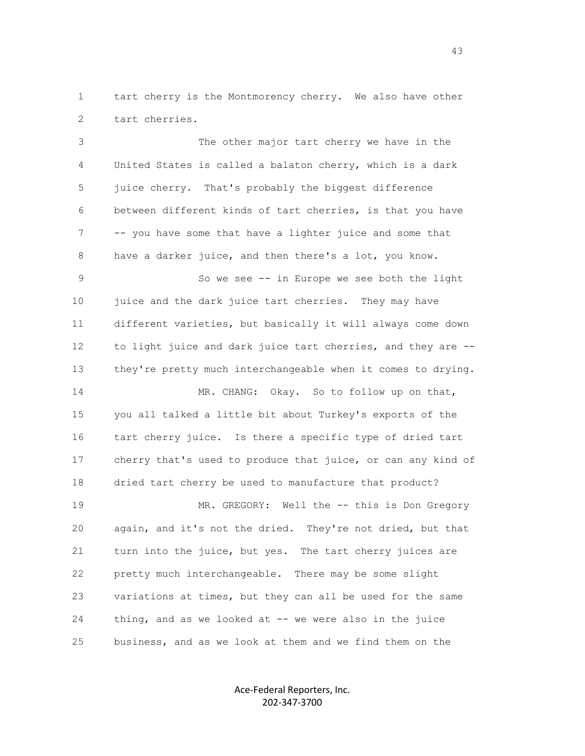1 tart cherry is the Montmorency cherry. We also have other 2 tart cherries.

 3 The other major tart cherry we have in the 4 United States is called a balaton cherry, which is a dark 5 juice cherry. That's probably the biggest difference 6 between different kinds of tart cherries, is that you have 7 -- you have some that have a lighter juice and some that 8 have a darker juice, and then there's a lot, you know.

 9 So we see -- in Europe we see both the light 10 juice and the dark juice tart cherries. They may have 11 different varieties, but basically it will always come down 12 to light juice and dark juice tart cherries, and they are -- 13 they're pretty much interchangeable when it comes to drying.

14 MR. CHANG: Okay. So to follow up on that, 15 you all talked a little bit about Turkey's exports of the 16 tart cherry juice. Is there a specific type of dried tart 17 cherry that's used to produce that juice, or can any kind of 18 dried tart cherry be used to manufacture that product? 19 MR. GREGORY: Well the -- this is Don Gregory

 20 again, and it's not the dried. They're not dried, but that 21 turn into the juice, but yes. The tart cherry juices are 22 pretty much interchangeable. There may be some slight 23 variations at times, but they can all be used for the same 24 thing, and as we looked at -- we were also in the juice 25 business, and as we look at them and we find them on the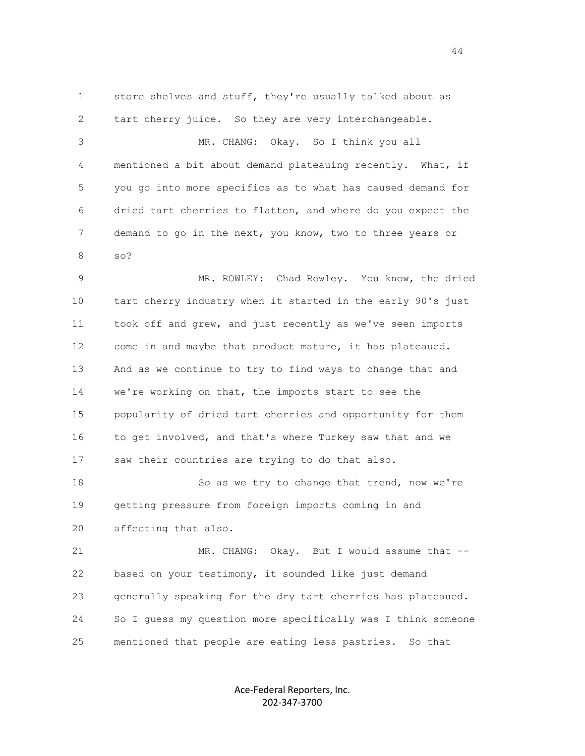1 store shelves and stuff, they're usually talked about as 2 tart cherry juice. So they are very interchangeable. 3 MR. CHANG: Okay. So I think you all 4 mentioned a bit about demand plateauing recently. What, if 5 you go into more specifics as to what has caused demand for 6 dried tart cherries to flatten, and where do you expect the 7 demand to go in the next, you know, two to three years or 8 so? 9 MR. ROWLEY: Chad Rowley. You know, the dried 10 tart cherry industry when it started in the early 90's just 11 took off and grew, and just recently as we've seen imports 12 come in and maybe that product mature, it has plateaued. 13 And as we continue to try to find ways to change that and 14 we're working on that, the imports start to see the 15 popularity of dried tart cherries and opportunity for them 16 to get involved, and that's where Turkey saw that and we 17 saw their countries are trying to do that also. 18 So as we try to change that trend, now we're 19 getting pressure from foreign imports coming in and 20 affecting that also. 21 MR. CHANG: Okay. But I would assume that -- 22 based on your testimony, it sounded like just demand 23 generally speaking for the dry tart cherries has plateaued. 24 So I guess my question more specifically was I think someone 25 mentioned that people are eating less pastries. So that

> Ace-Federal Reporters, Inc. 202-347-3700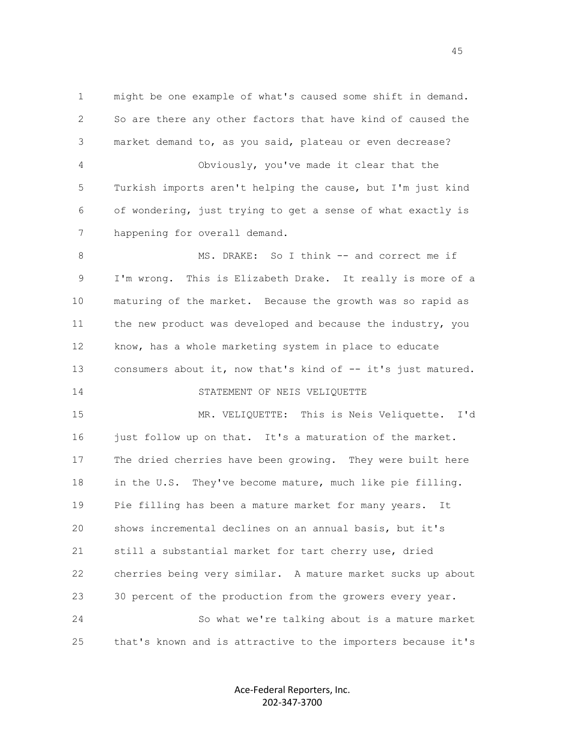1 might be one example of what's caused some shift in demand. 2 So are there any other factors that have kind of caused the 3 market demand to, as you said, plateau or even decrease? 4 Obviously, you've made it clear that the 5 Turkish imports aren't helping the cause, but I'm just kind 6 of wondering, just trying to get a sense of what exactly is 7 happening for overall demand.

8 MS. DRAKE: So I think -- and correct me if 9 I'm wrong. This is Elizabeth Drake. It really is more of a 10 maturing of the market. Because the growth was so rapid as 11 the new product was developed and because the industry, you 12 know, has a whole marketing system in place to educate 13 consumers about it, now that's kind of -- it's just matured. 14 STATEMENT OF NEIS VELIQUETTE

 15 MR. VELIQUETTE: This is Neis Veliquette. I'd 16 just follow up on that. It's a maturation of the market. 17 The dried cherries have been growing. They were built here 18 in the U.S. They've become mature, much like pie filling. 19 Pie filling has been a mature market for many years. It 20 shows incremental declines on an annual basis, but it's 21 still a substantial market for tart cherry use, dried 22 cherries being very similar. A mature market sucks up about 23 30 percent of the production from the growers every year. 24 So what we're talking about is a mature market 25 that's known and is attractive to the importers because it's

> Ace-Federal Reporters, Inc. 202-347-3700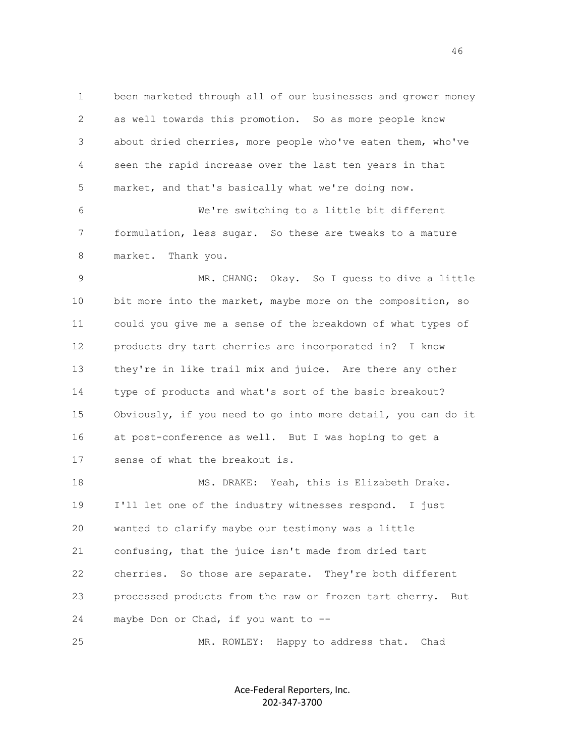1 been marketed through all of our businesses and grower money 2 as well towards this promotion. So as more people know 3 about dried cherries, more people who've eaten them, who've 4 seen the rapid increase over the last ten years in that 5 market, and that's basically what we're doing now. 6 We're switching to a little bit different 7 formulation, less sugar. So these are tweaks to a mature 8 market. Thank you. 9 MR. CHANG: Okay. So I guess to dive a little 10 bit more into the market, maybe more on the composition, so 11 could you give me a sense of the breakdown of what types of 12 products dry tart cherries are incorporated in? I know 13 they're in like trail mix and juice. Are there any other 14 type of products and what's sort of the basic breakout? 15 Obviously, if you need to go into more detail, you can do it 16 at post-conference as well. But I was hoping to get a 17 sense of what the breakout is. 18 MS. DRAKE: Yeah, this is Elizabeth Drake. 19 I'll let one of the industry witnesses respond. I just 20 wanted to clarify maybe our testimony was a little 21 confusing, that the juice isn't made from dried tart 22 cherries. So those are separate. They're both different 23 processed products from the raw or frozen tart cherry. But 24 maybe Don or Chad, if you want to --

25 MR. ROWLEY: Happy to address that. Chad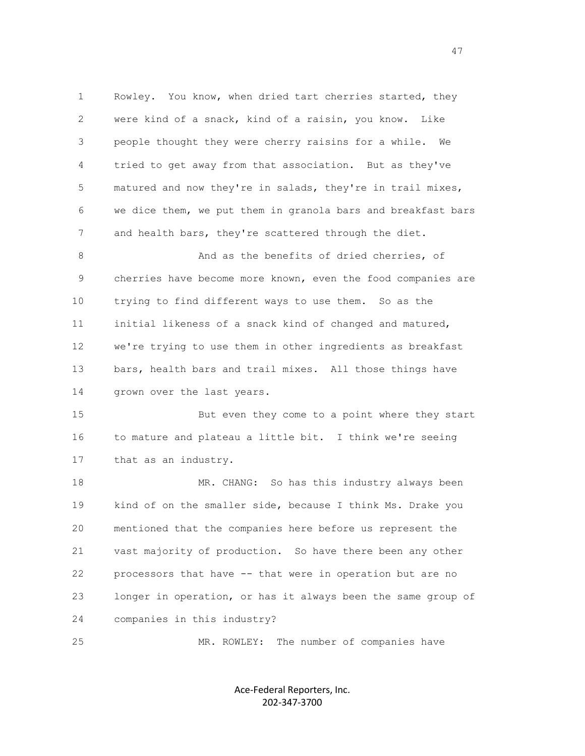1 Rowley. You know, when dried tart cherries started, they 2 were kind of a snack, kind of a raisin, you know. Like 3 people thought they were cherry raisins for a while. We 4 tried to get away from that association. But as they've 5 matured and now they're in salads, they're in trail mixes, 6 we dice them, we put them in granola bars and breakfast bars 7 and health bars, they're scattered through the diet. 8 And as the benefits of dried cherries, of 9 cherries have become more known, even the food companies are 10 trying to find different ways to use them. So as the 11 initial likeness of a snack kind of changed and matured, 12 we're trying to use them in other ingredients as breakfast 13 bars, health bars and trail mixes. All those things have 14 grown over the last years. 15 But even they come to a point where they start 16 to mature and plateau a little bit. I think we're seeing 17 that as an industry. 18 MR. CHANG: So has this industry always been 19 kind of on the smaller side, because I think Ms. Drake you 20 mentioned that the companies here before us represent the 21 vast majority of production. So have there been any other 22 processors that have -- that were in operation but are no

 23 longer in operation, or has it always been the same group of 24 companies in this industry?

25 MR. ROWLEY: The number of companies have

Ace-Federal Reporters, Inc. 202-347-3700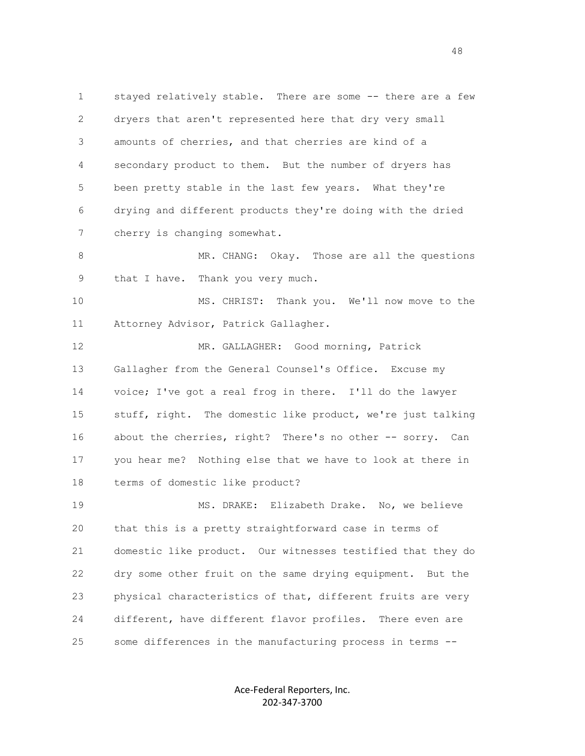1 stayed relatively stable. There are some -- there are a few 2 dryers that aren't represented here that dry very small 3 amounts of cherries, and that cherries are kind of a 4 secondary product to them. But the number of dryers has 5 been pretty stable in the last few years. What they're 6 drying and different products they're doing with the dried 7 cherry is changing somewhat.

8 MR. CHANG: Okay. Those are all the questions 9 that I have. Thank you very much.

 10 MS. CHRIST: Thank you. We'll now move to the 11 Attorney Advisor, Patrick Gallagher.

12 MR. GALLAGHER: Good morning, Patrick 13 Gallagher from the General Counsel's Office. Excuse my 14 voice; I've got a real frog in there. I'll do the lawyer 15 stuff, right. The domestic like product, we're just talking 16 about the cherries, right? There's no other -- sorry. Can 17 you hear me? Nothing else that we have to look at there in 18 terms of domestic like product?

 19 MS. DRAKE: Elizabeth Drake. No, we believe 20 that this is a pretty straightforward case in terms of 21 domestic like product. Our witnesses testified that they do 22 dry some other fruit on the same drying equipment. But the 23 physical characteristics of that, different fruits are very 24 different, have different flavor profiles. There even are 25 some differences in the manufacturing process in terms --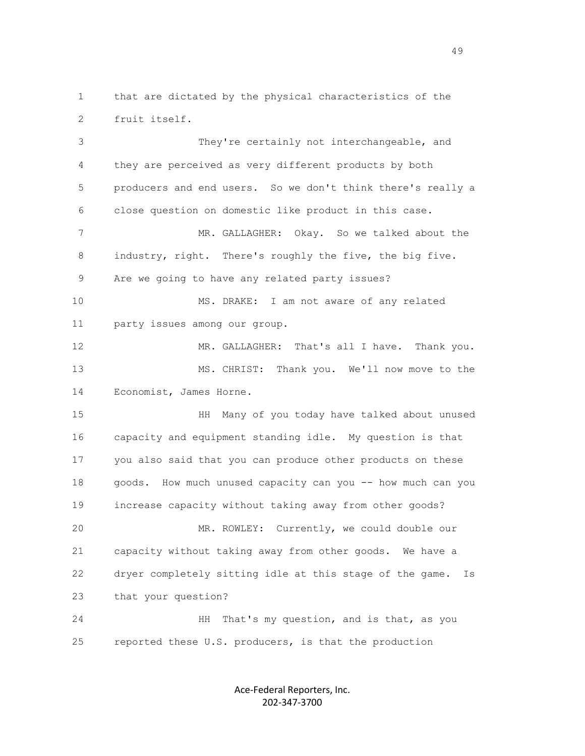1 that are dictated by the physical characteristics of the 2 fruit itself.

 3 They're certainly not interchangeable, and 4 they are perceived as very different products by both 5 producers and end users. So we don't think there's really a 6 close question on domestic like product in this case. 7 MR. GALLAGHER: Okay. So we talked about the 8 industry, right. There's roughly the five, the big five.

9 Are we going to have any related party issues?

 10 MS. DRAKE: I am not aware of any related 11 party issues among our group.

12 MR. GALLAGHER: That's all I have. Thank you. 13 MS. CHRIST: Thank you. We'll now move to the 14 Economist, James Horne.

 15 HH Many of you today have talked about unused 16 capacity and equipment standing idle. My question is that 17 you also said that you can produce other products on these 18 goods. How much unused capacity can you -- how much can you 19 increase capacity without taking away from other goods? 20 MR. ROWLEY: Currently, we could double our

 21 capacity without taking away from other goods. We have a 22 dryer completely sitting idle at this stage of the game. Is 23 that your question?

 24 HH That's my question, and is that, as you 25 reported these U.S. producers, is that the production

> Ace-Federal Reporters, Inc. 202-347-3700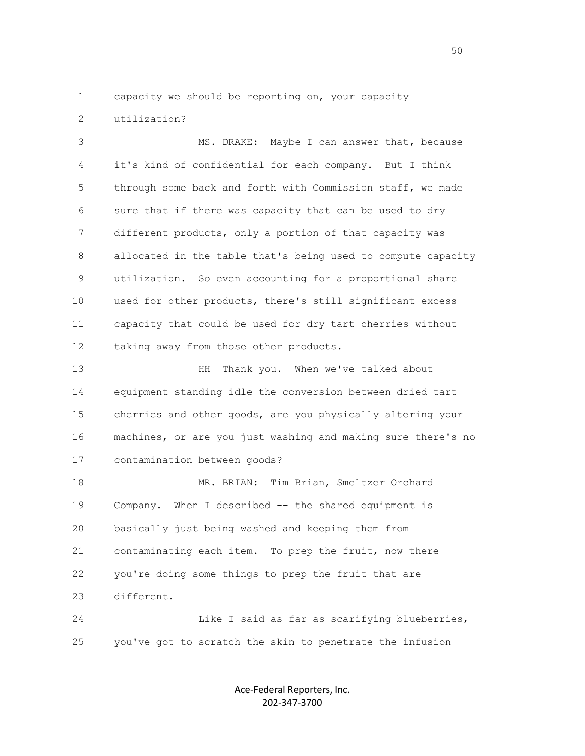1 capacity we should be reporting on, your capacity 2 utilization?

 3 MS. DRAKE: Maybe I can answer that, because 4 it's kind of confidential for each company. But I think 5 through some back and forth with Commission staff, we made 6 sure that if there was capacity that can be used to dry 7 different products, only a portion of that capacity was 8 allocated in the table that's being used to compute capacity 9 utilization. So even accounting for a proportional share 10 used for other products, there's still significant excess 11 capacity that could be used for dry tart cherries without 12 taking away from those other products.

 13 HH Thank you. When we've talked about 14 equipment standing idle the conversion between dried tart 15 cherries and other goods, are you physically altering your 16 machines, or are you just washing and making sure there's no 17 contamination between goods?

 18 MR. BRIAN: Tim Brian, Smeltzer Orchard 19 Company. When I described -- the shared equipment is 20 basically just being washed and keeping them from 21 contaminating each item. To prep the fruit, now there 22 you're doing some things to prep the fruit that are 23 different.

 24 Like I said as far as scarifying blueberries, 25 you've got to scratch the skin to penetrate the infusion

> Ace-Federal Reporters, Inc. 202-347-3700

 $50<sub>50</sub>$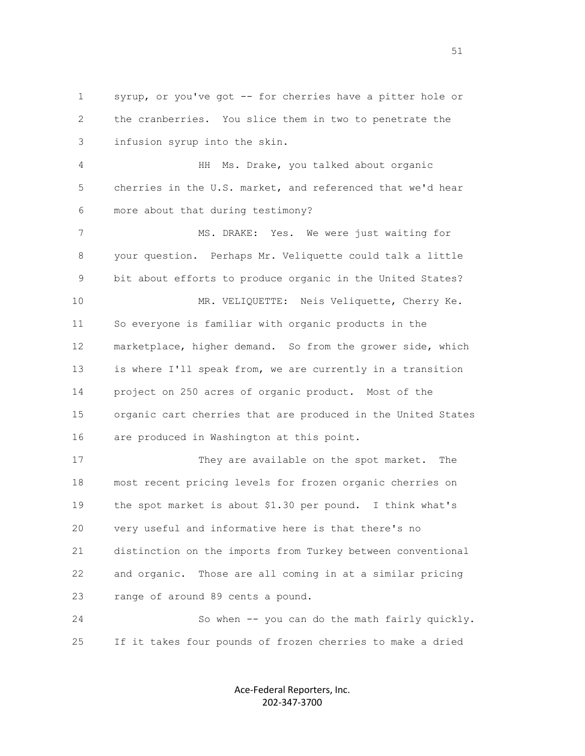1 syrup, or you've got -- for cherries have a pitter hole or 2 the cranberries. You slice them in two to penetrate the 3 infusion syrup into the skin.

 4 HH Ms. Drake, you talked about organic 5 cherries in the U.S. market, and referenced that we'd hear 6 more about that during testimony?

7 MS. DRAKE: Yes. We were just waiting for 8 your question. Perhaps Mr. Veliquette could talk a little 9 bit about efforts to produce organic in the United States? 10 MR. VELIQUETTE: Neis Veliquette, Cherry Ke. 11 So everyone is familiar with organic products in the 12 marketplace, higher demand. So from the grower side, which 13 is where I'll speak from, we are currently in a transition 14 project on 250 acres of organic product. Most of the 15 organic cart cherries that are produced in the United States 16 are produced in Washington at this point.

 17 They are available on the spot market. The 18 most recent pricing levels for frozen organic cherries on 19 the spot market is about \$1.30 per pound. I think what's 20 very useful and informative here is that there's no 21 distinction on the imports from Turkey between conventional 22 and organic. Those are all coming in at a similar pricing 23 range of around 89 cents a pound.

 24 So when -- you can do the math fairly quickly. 25 If it takes four pounds of frozen cherries to make a dried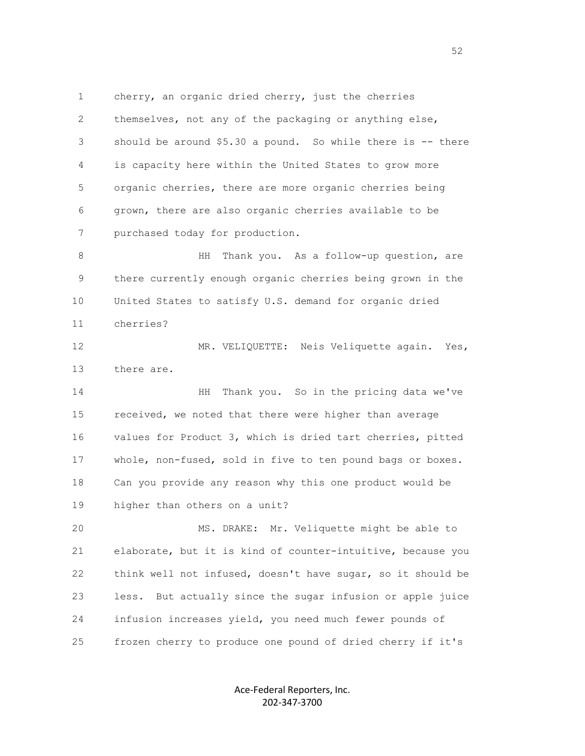1 cherry, an organic dried cherry, just the cherries 2 themselves, not any of the packaging or anything else, 3 should be around \$5.30 a pound. So while there is -- there 4 is capacity here within the United States to grow more 5 organic cherries, there are more organic cherries being 6 grown, there are also organic cherries available to be 7 purchased today for production.

8 HH Thank you. As a follow-up question, are 9 there currently enough organic cherries being grown in the 10 United States to satisfy U.S. demand for organic dried 11 cherries?

12 MR. VELIQUETTE: Neis Veliquette again. Yes, 13 there are.

 14 HH Thank you. So in the pricing data we've 15 received, we noted that there were higher than average 16 values for Product 3, which is dried tart cherries, pitted 17 whole, non-fused, sold in five to ten pound bags or boxes. 18 Can you provide any reason why this one product would be 19 higher than others on a unit?

 20 MS. DRAKE: Mr. Veliquette might be able to 21 elaborate, but it is kind of counter-intuitive, because you 22 think well not infused, doesn't have sugar, so it should be 23 less. But actually since the sugar infusion or apple juice 24 infusion increases yield, you need much fewer pounds of 25 frozen cherry to produce one pound of dried cherry if it's

> Ace-Federal Reporters, Inc. 202-347-3700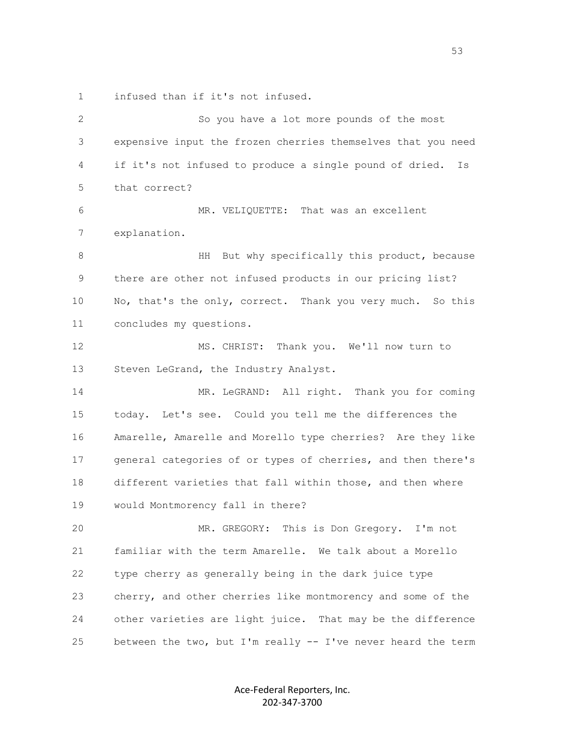1 infused than if it's not infused.

| $\mathbf{2}$ | So you have a lot more pounds of the most                     |
|--------------|---------------------------------------------------------------|
| 3            | expensive input the frozen cherries themselves that you need  |
| 4            | if it's not infused to produce a single pound of dried.<br>Is |
| 5            | that correct?                                                 |
| 6            | MR. VELIQUETTE: That was an excellent                         |
| 7            | explanation.                                                  |
| 8            | HH<br>But why specifically this product, because              |
| 9            | there are other not infused products in our pricing list?     |
| 10           | No, that's the only, correct. Thank you very much. So this    |
| 11           | concludes my questions.                                       |
| 12           | MS. CHRIST: Thank you. We'll now turn to                      |
| 13           | Steven LeGrand, the Industry Analyst.                         |
| 14           | MR. LeGRAND: All right. Thank you for coming                  |
| 15           | today. Let's see. Could you tell me the differences the       |
| 16           | Amarelle, Amarelle and Morello type cherries? Are they like   |
| 17           | general categories of or types of cherries, and then there's  |
| 18           | different varieties that fall within those, and then where    |
| 19           | would Montmorency fall in there?                              |
| 20           | MR. GREGORY: This is Don Gregory. I'm not                     |
| 21           | familiar with the term Amarelle. We talk about a Morello      |
| 22           | type cherry as generally being in the dark juice type         |
| 23           | cherry, and other cherries like montmorency and some of the   |
| 24           | other varieties are light juice. That may be the difference   |
| 25           | between the two, but I'm really -- I've never heard the term  |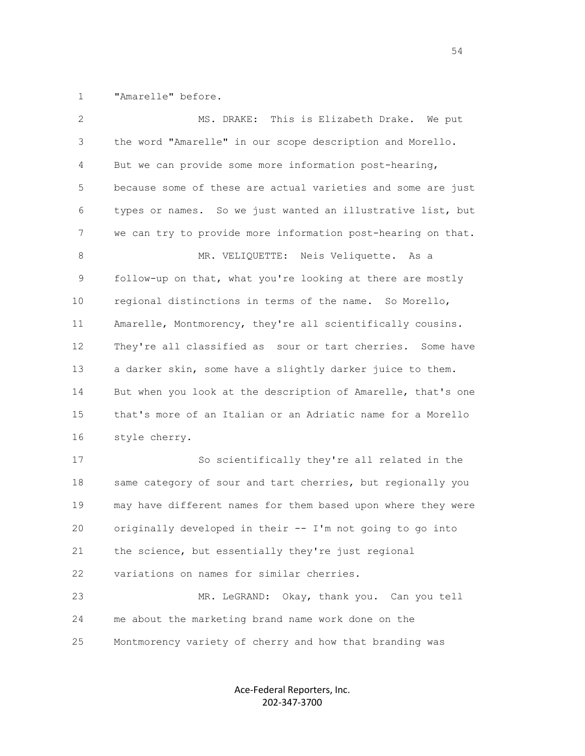1 "Amarelle" before.

| 2  | This is Elizabeth Drake. We put<br>MS. DRAKE:                 |
|----|---------------------------------------------------------------|
| 3  | the word "Amarelle" in our scope description and Morello.     |
| 4  | But we can provide some more information post-hearing,        |
| 5  | because some of these are actual varieties and some are just  |
| 6  | types or names. So we just wanted an illustrative list, but   |
| 7  | we can try to provide more information post-hearing on that.  |
| 8  | MR. VELIQUETTE: Neis Veliquette. As a                         |
| 9  | follow-up on that, what you're looking at there are mostly    |
| 10 | regional distinctions in terms of the name. So Morello,       |
| 11 | Amarelle, Montmorency, they're all scientifically cousins.    |
| 12 | They're all classified as sour or tart cherries.<br>Some have |
| 13 | a darker skin, some have a slightly darker juice to them.     |
| 14 | But when you look at the description of Amarelle, that's one  |
| 15 | that's more of an Italian or an Adriatic name for a Morello   |
| 16 | style cherry.                                                 |
| 17 | So scientifically they're all related in the                  |
| 18 | same category of sour and tart cherries, but regionally you   |
| 19 | may have different names for them based upon where they were  |
| 20 | originally developed in their -- I'm not going to go into     |
| 21 | the science, but essentially they're just regional            |
| 22 | variations on names for similar cherries.                     |
| 23 | MR. LeGRAND: Okay, thank you. Can you tell                    |
| 24 | me about the marketing brand name work done on the            |
| 25 | Montmorency variety of cherry and how that branding was       |

Ace-Federal Reporters, Inc. 202-347-3700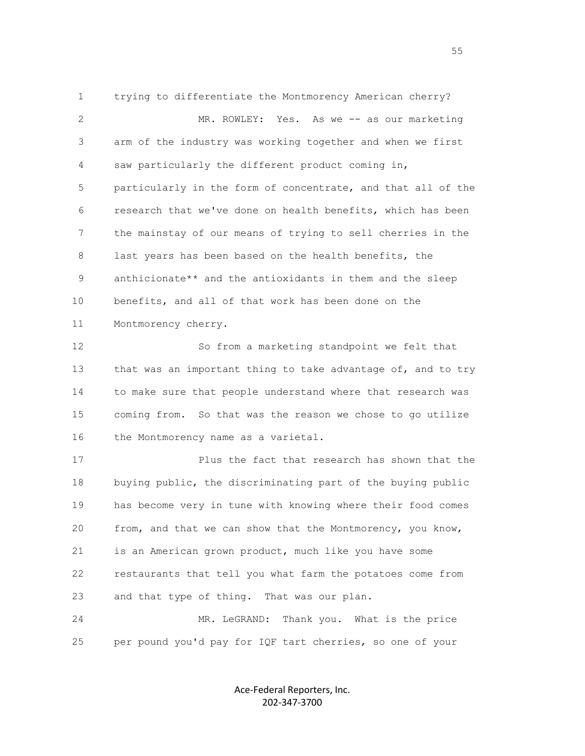1 trying to differentiate the Montmorency American cherry? 2 MR. ROWLEY: Yes. As we -- as our marketing 3 arm of the industry was working together and when we first 4 saw particularly the different product coming in, 5 particularly in the form of concentrate, and that all of the 6 research that we've done on health benefits, which has been 7 the mainstay of our means of trying to sell cherries in the 8 last years has been based on the health benefits, the 9 anthicionate\*\* and the antioxidants in them and the sleep 10 benefits, and all of that work has been done on the 11 Montmorency cherry.

 12 So from a marketing standpoint we felt that 13 that was an important thing to take advantage of, and to try 14 to make sure that people understand where that research was 15 coming from. So that was the reason we chose to go utilize 16 the Montmorency name as a varietal.

 17 Plus the fact that research has shown that the 18 buying public, the discriminating part of the buying public 19 has become very in tune with knowing where their food comes 20 from, and that we can show that the Montmorency, you know, 21 is an American grown product, much like you have some 22 restaurants that tell you what farm the potatoes come from 23 and that type of thing. That was our plan.

 24 MR. LeGRAND: Thank you. What is the price 25 per pound you'd pay for IQF tart cherries, so one of your

> Ace-Federal Reporters, Inc. 202-347-3700

the contract of the contract of the contract of the contract of the contract of the contract of the contract of the contract of the contract of the contract of the contract of the contract of the contract of the contract o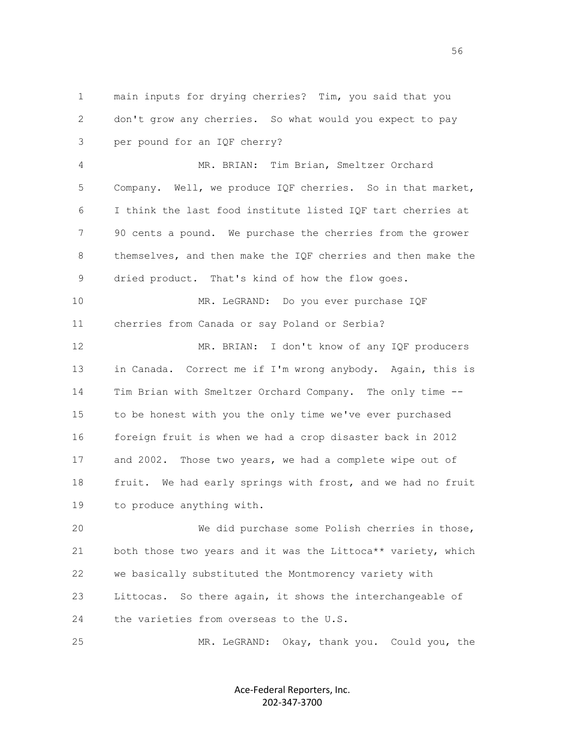1 main inputs for drying cherries? Tim, you said that you 2 don't grow any cherries. So what would you expect to pay 3 per pound for an IQF cherry?

 4 MR. BRIAN: Tim Brian, Smeltzer Orchard 5 Company. Well, we produce IQF cherries. So in that market, 6 I think the last food institute listed IQF tart cherries at 7 90 cents a pound. We purchase the cherries from the grower 8 themselves, and then make the IQF cherries and then make the 9 dried product. That's kind of how the flow goes.

 10 MR. LeGRAND: Do you ever purchase IQF 11 cherries from Canada or say Poland or Serbia?

 12 MR. BRIAN: I don't know of any IQF producers 13 in Canada. Correct me if I'm wrong anybody. Again, this is 14 Tim Brian with Smeltzer Orchard Company. The only time -- 15 to be honest with you the only time we've ever purchased 16 foreign fruit is when we had a crop disaster back in 2012 17 and 2002. Those two years, we had a complete wipe out of 18 fruit. We had early springs with frost, and we had no fruit 19 to produce anything with.

 20 We did purchase some Polish cherries in those, 21 both those two years and it was the Littoca\*\* variety, which 22 we basically substituted the Montmorency variety with 23 Littocas. So there again, it shows the interchangeable of 24 the varieties from overseas to the U.S.

25 MR. LeGRAND: Okay, thank you. Could you, the

Ace-Federal Reporters, Inc. 202-347-3700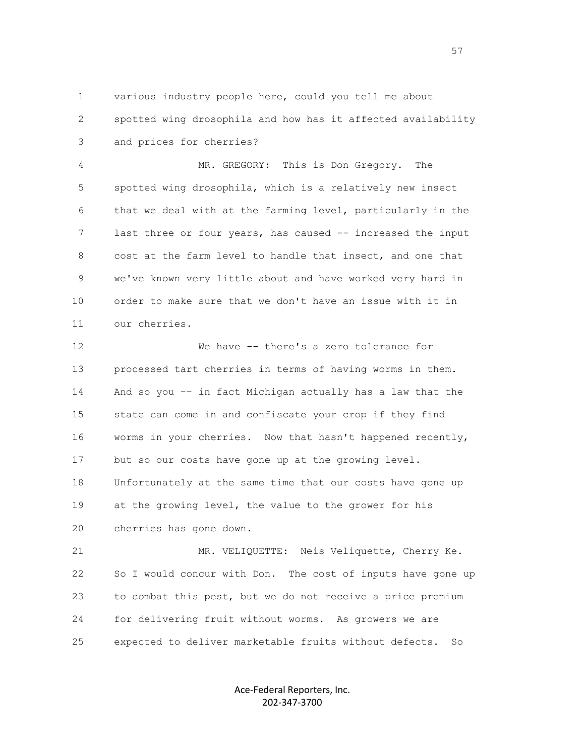1 various industry people here, could you tell me about 2 spotted wing drosophila and how has it affected availability 3 and prices for cherries?

 4 MR. GREGORY: This is Don Gregory. The 5 spotted wing drosophila, which is a relatively new insect 6 that we deal with at the farming level, particularly in the 7 last three or four years, has caused -- increased the input 8 cost at the farm level to handle that insect, and one that 9 we've known very little about and have worked very hard in 10 order to make sure that we don't have an issue with it in 11 our cherries.

 12 We have -- there's a zero tolerance for 13 processed tart cherries in terms of having worms in them. 14 And so you -- in fact Michigan actually has a law that the 15 state can come in and confiscate your crop if they find 16 worms in your cherries. Now that hasn't happened recently, 17 but so our costs have gone up at the growing level. 18 Unfortunately at the same time that our costs have gone up 19 at the growing level, the value to the grower for his 20 cherries has gone down.

 21 MR. VELIQUETTE: Neis Veliquette, Cherry Ke. 22 So I would concur with Don. The cost of inputs have gone up 23 to combat this pest, but we do not receive a price premium 24 for delivering fruit without worms. As growers we are 25 expected to deliver marketable fruits without defects. So

> Ace-Federal Reporters, Inc. 202-347-3700

the contract of the contract of the contract of the contract of the contract of the contract of the contract of the contract of the contract of the contract of the contract of the contract of the contract of the contract o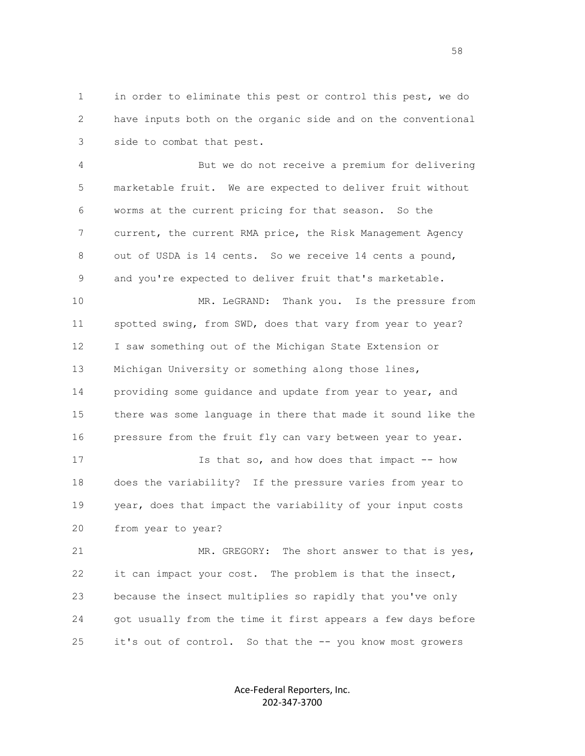1 in order to eliminate this pest or control this pest, we do 2 have inputs both on the organic side and on the conventional 3 side to combat that pest.

 4 But we do not receive a premium for delivering 5 marketable fruit. We are expected to deliver fruit without 6 worms at the current pricing for that season. So the 7 current, the current RMA price, the Risk Management Agency 8 out of USDA is 14 cents. So we receive 14 cents a pound, 9 and you're expected to deliver fruit that's marketable.

 10 MR. LeGRAND: Thank you. Is the pressure from 11 spotted swing, from SWD, does that vary from year to year? 12 I saw something out of the Michigan State Extension or 13 Michigan University or something along those lines, 14 providing some guidance and update from year to year, and 15 there was some language in there that made it sound like the 16 pressure from the fruit fly can vary between year to year.

 17 Is that so, and how does that impact -- how 18 does the variability? If the pressure varies from year to 19 year, does that impact the variability of your input costs 20 from year to year?

21 MR. GREGORY: The short answer to that is yes, 22 it can impact your cost. The problem is that the insect, 23 because the insect multiplies so rapidly that you've only 24 got usually from the time it first appears a few days before 25 it's out of control. So that the -- you know most growers

> Ace-Federal Reporters, Inc. 202-347-3700

the state of the state of the state of the state of the state of the state of the state of the state of the st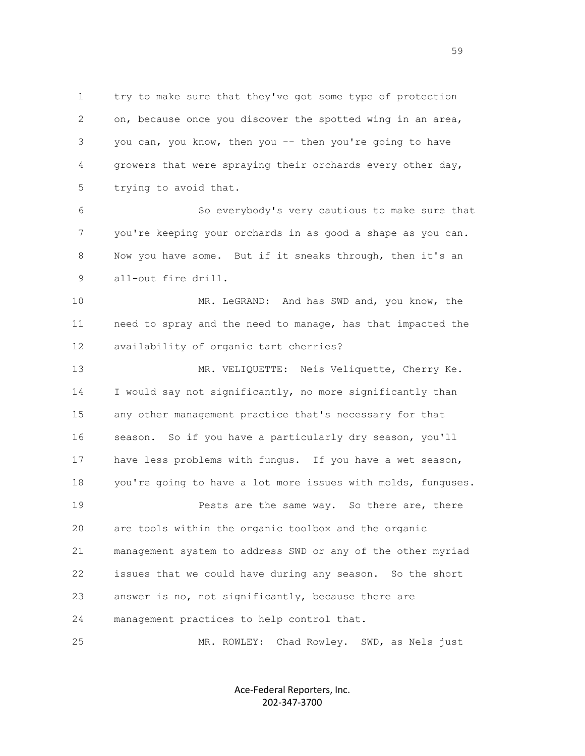1 try to make sure that they've got some type of protection 2 on, because once you discover the spotted wing in an area, 3 you can, you know, then you -- then you're going to have 4 growers that were spraying their orchards every other day, 5 trying to avoid that.

 6 So everybody's very cautious to make sure that 7 you're keeping your orchards in as good a shape as you can. 8 Now you have some. But if it sneaks through, then it's an 9 all-out fire drill.

 10 MR. LeGRAND: And has SWD and, you know, the 11 need to spray and the need to manage, has that impacted the 12 availability of organic tart cherries?

 13 MR. VELIQUETTE: Neis Veliquette, Cherry Ke. 14 I would say not significantly, no more significantly than 15 any other management practice that's necessary for that 16 season. So if you have a particularly dry season, you'll 17 have less problems with fungus. If you have a wet season, 18 you're going to have a lot more issues with molds, funguses. 19 **Pests are the same way.** So there are, there 20 are tools within the organic toolbox and the organic 21 management system to address SWD or any of the other myriad 22 issues that we could have during any season. So the short 23 answer is no, not significantly, because there are 24 management practices to help control that.

25 MR. ROWLEY: Chad Rowley. SWD, as Nels just

Ace-Federal Reporters, Inc. 202-347-3700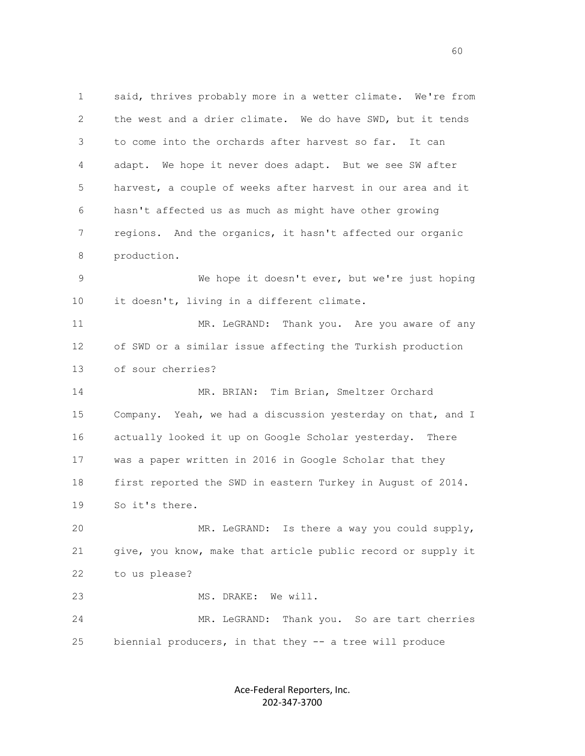1 said, thrives probably more in a wetter climate. We're from 2 the west and a drier climate. We do have SWD, but it tends 3 to come into the orchards after harvest so far. It can 4 adapt. We hope it never does adapt. But we see SW after 5 harvest, a couple of weeks after harvest in our area and it 6 hasn't affected us as much as might have other growing 7 regions. And the organics, it hasn't affected our organic 8 production. 9 We hope it doesn't ever, but we're just hoping

11 MR. LeGRAND: Thank you. Are you aware of any 12 of SWD or a similar issue affecting the Turkish production 13 of sour cherries?

10 it doesn't, living in a different climate.

 14 MR. BRIAN: Tim Brian, Smeltzer Orchard 15 Company. Yeah, we had a discussion yesterday on that, and I 16 actually looked it up on Google Scholar yesterday. There 17 was a paper written in 2016 in Google Scholar that they 18 first reported the SWD in eastern Turkey in August of 2014. 19 So it's there.

 20 MR. LeGRAND: Is there a way you could supply, 21 give, you know, make that article public record or supply it 22 to us please? 23 MS. DRAKE: We will.

 24 MR. LeGRAND: Thank you. So are tart cherries 25 biennial producers, in that they -- a tree will produce

> Ace-Federal Reporters, Inc. 202-347-3700

 $\sim$  60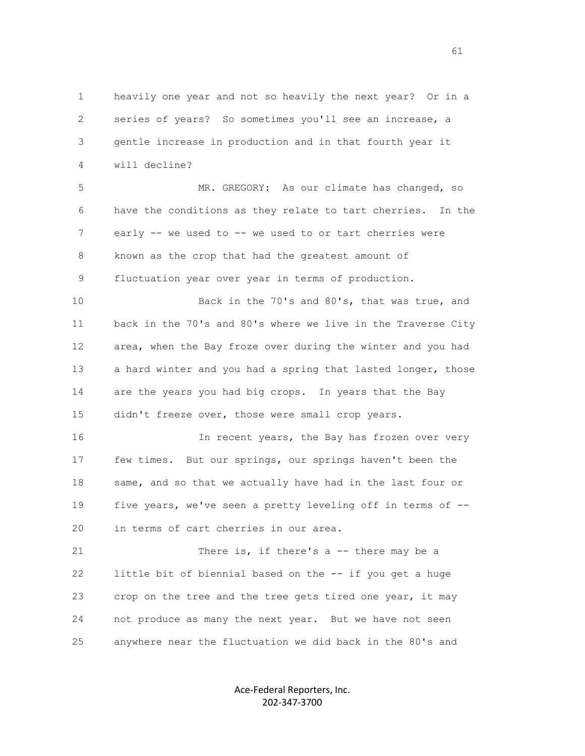1 heavily one year and not so heavily the next year? Or in a 2 series of years? So sometimes you'll see an increase, a 3 gentle increase in production and in that fourth year it 4 will decline?

 5 MR. GREGORY: As our climate has changed, so 6 have the conditions as they relate to tart cherries. In the 7 early -- we used to -- we used to or tart cherries were 8 known as the crop that had the greatest amount of 9 fluctuation year over year in terms of production.

 10 Back in the 70's and 80's, that was true, and 11 back in the 70's and 80's where we live in the Traverse City 12 area, when the Bay froze over during the winter and you had 13 a hard winter and you had a spring that lasted longer, those 14 are the years you had big crops. In years that the Bay 15 didn't freeze over, those were small crop years.

 16 In recent years, the Bay has frozen over very 17 few times. But our springs, our springs haven't been the 18 same, and so that we actually have had in the last four or 19 five years, we've seen a pretty leveling off in terms of -- 20 in terms of cart cherries in our area.

21 There is, if there's a -- there may be a 22 little bit of biennial based on the -- if you get a huge 23 crop on the tree and the tree gets tired one year, it may 24 not produce as many the next year. But we have not seen 25 anywhere near the fluctuation we did back in the 80's and

> Ace-Federal Reporters, Inc. 202-347-3700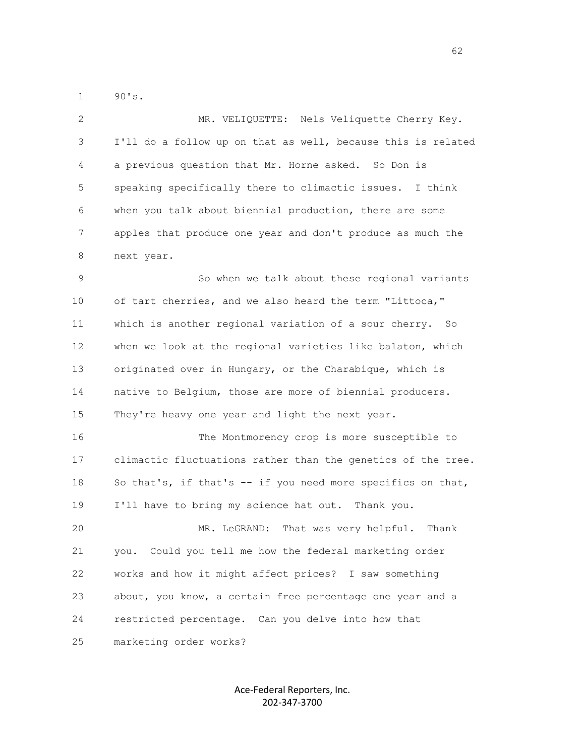1 90's.

| 2  | MR. VELIQUETTE: Nels Veliquette Cherry Key.                  |
|----|--------------------------------------------------------------|
| 3  | I'll do a follow up on that as well, because this is related |
| 4  | a previous question that Mr. Horne asked. So Don is          |
| 5  | speaking specifically there to climactic issues. I think     |
| 6  | when you talk about biennial production, there are some      |
| 7  | apples that produce one year and don't produce as much the   |
| 8  | next year.                                                   |
| 9  | So when we talk about these regional variants                |
| 10 | of tart cherries, and we also heard the term "Littoca,"      |
| 11 | which is another regional variation of a sour cherry. So     |
| 12 | when we look at the regional varieties like balaton, which   |
| 13 | originated over in Hungary, or the Charabique, which is      |
| 14 | native to Belgium, those are more of biennial producers.     |
| 15 | They're heavy one year and light the next year.              |
| 16 | The Montmorency crop is more susceptible to                  |
| 17 | climactic fluctuations rather than the genetics of the tree. |
| 18 | So that's, if that's $-$ if you need more specifics on that, |
| 19 | I'll have to bring my science hat out. Thank you.            |
| 20 | That was very helpful.<br>Thank<br>MR. LeGRAND:              |
| 21 | Could you tell me how the federal marketing order<br>you.    |
| 22 | works and how it might affect prices? I saw something        |
| 23 | about, you know, a certain free percentage one year and a    |
| 24 | restricted percentage. Can you delve into how that           |
| 25 | marketing order works?                                       |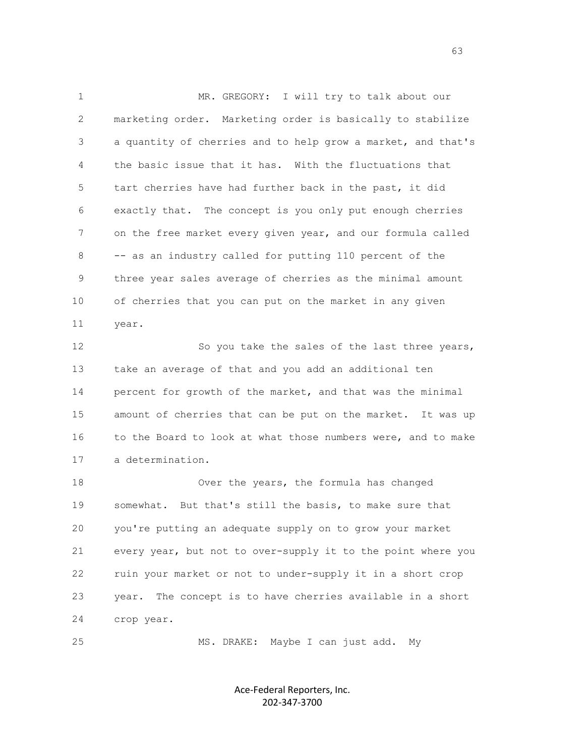1 MR. GREGORY: I will try to talk about our 2 marketing order. Marketing order is basically to stabilize 3 a quantity of cherries and to help grow a market, and that's 4 the basic issue that it has. With the fluctuations that 5 tart cherries have had further back in the past, it did 6 exactly that. The concept is you only put enough cherries 7 on the free market every given year, and our formula called 8 -- as an industry called for putting 110 percent of the 9 three year sales average of cherries as the minimal amount 10 of cherries that you can put on the market in any given 11 year.

12 So you take the sales of the last three years, 13 take an average of that and you add an additional ten 14 percent for growth of the market, and that was the minimal 15 amount of cherries that can be put on the market. It was up 16 to the Board to look at what those numbers were, and to make 17 a determination.

 18 Over the years, the formula has changed 19 somewhat. But that's still the basis, to make sure that 20 you're putting an adequate supply on to grow your market 21 every year, but not to over-supply it to the point where you 22 ruin your market or not to under-supply it in a short crop 23 year. The concept is to have cherries available in a short 24 crop year.

25 MS. DRAKE: Maybe I can just add. My

Ace-Federal Reporters, Inc. 202-347-3700

 $\sim$  63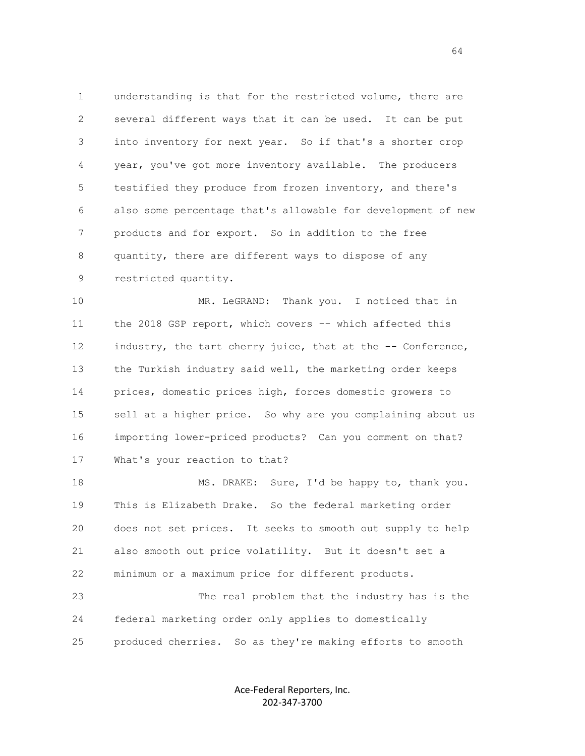1 understanding is that for the restricted volume, there are 2 several different ways that it can be used. It can be put 3 into inventory for next year. So if that's a shorter crop 4 year, you've got more inventory available. The producers 5 testified they produce from frozen inventory, and there's 6 also some percentage that's allowable for development of new 7 products and for export. So in addition to the free 8 quantity, there are different ways to dispose of any 9 restricted quantity.

 10 MR. LeGRAND: Thank you. I noticed that in 11 the 2018 GSP report, which covers -- which affected this 12 industry, the tart cherry juice, that at the -- Conference, 13 the Turkish industry said well, the marketing order keeps 14 prices, domestic prices high, forces domestic growers to 15 sell at a higher price. So why are you complaining about us 16 importing lower-priced products? Can you comment on that? 17 What's your reaction to that?

18 MS. DRAKE: Sure, I'd be happy to, thank you. 19 This is Elizabeth Drake. So the federal marketing order 20 does not set prices. It seeks to smooth out supply to help 21 also smooth out price volatility. But it doesn't set a 22 minimum or a maximum price for different products.

 23 The real problem that the industry has is the 24 federal marketing order only applies to domestically 25 produced cherries. So as they're making efforts to smooth

> Ace-Federal Reporters, Inc. 202-347-3700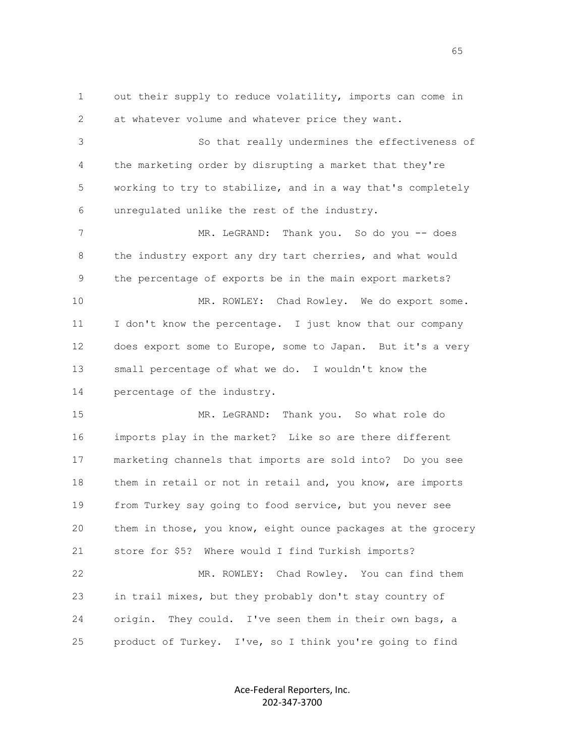1 out their supply to reduce volatility, imports can come in 2 at whatever volume and whatever price they want. 3 So that really undermines the effectiveness of 4 the marketing order by disrupting a market that they're 5 working to try to stabilize, and in a way that's completely 6 unregulated unlike the rest of the industry. 7 MR. LeGRAND: Thank you. So do you -- does 8 the industry export any dry tart cherries, and what would 9 the percentage of exports be in the main export markets? 10 MR. ROWLEY: Chad Rowley. We do export some. 11 I don't know the percentage. I just know that our company 12 does export some to Europe, some to Japan. But it's a very 13 small percentage of what we do. I wouldn't know the 14 percentage of the industry. 15 MR. LeGRAND: Thank you. So what role do 16 imports play in the market? Like so are there different 17 marketing channels that imports are sold into? Do you see 18 them in retail or not in retail and, you know, are imports 19 from Turkey say going to food service, but you never see 20 them in those, you know, eight ounce packages at the grocery 21 store for \$5? Where would I find Turkish imports? 22 MR. ROWLEY: Chad Rowley. You can find them 23 in trail mixes, but they probably don't stay country of 24 origin. They could. I've seen them in their own bags, a 25 product of Turkey. I've, so I think you're going to find

> Ace-Federal Reporters, Inc. 202-347-3700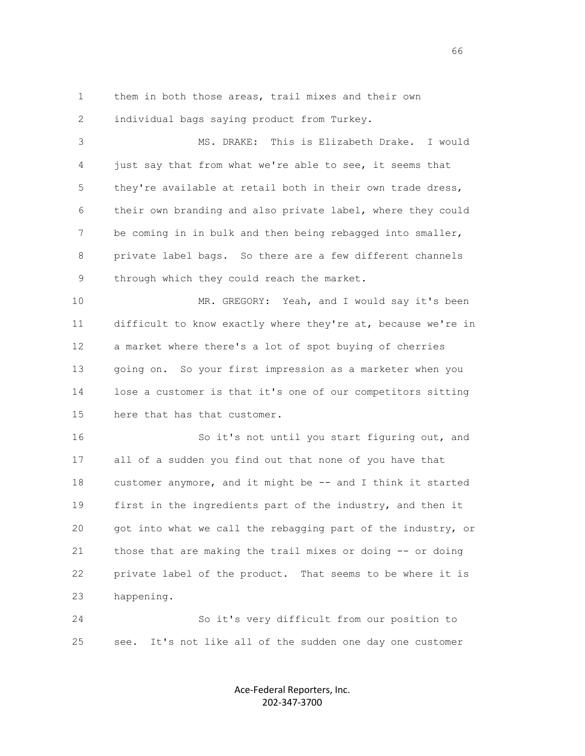1 them in both those areas, trail mixes and their own

2 individual bags saying product from Turkey.

 3 MS. DRAKE: This is Elizabeth Drake. I would 4 just say that from what we're able to see, it seems that 5 they're available at retail both in their own trade dress, 6 their own branding and also private label, where they could 7 be coming in in bulk and then being rebagged into smaller, 8 private label bags. So there are a few different channels 9 through which they could reach the market.

 10 MR. GREGORY: Yeah, and I would say it's been 11 difficult to know exactly where they're at, because we're in 12 a market where there's a lot of spot buying of cherries 13 going on. So your first impression as a marketer when you 14 lose a customer is that it's one of our competitors sitting 15 here that has that customer.

16 So it's not until you start figuring out, and 17 all of a sudden you find out that none of you have that 18 customer anymore, and it might be -- and I think it started 19 first in the ingredients part of the industry, and then it 20 got into what we call the rebagging part of the industry, or 21 those that are making the trail mixes or doing -- or doing 22 private label of the product. That seems to be where it is 23 happening.

 24 So it's very difficult from our position to 25 see. It's not like all of the sudden one day one customer

> Ace-Federal Reporters, Inc. 202-347-3700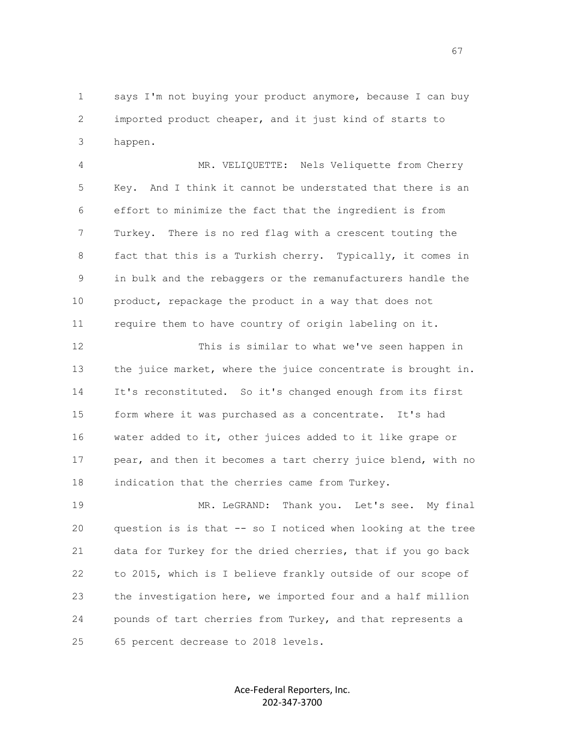1 says I'm not buying your product anymore, because I can buy 2 imported product cheaper, and it just kind of starts to 3 happen.

 4 MR. VELIQUETTE: Nels Veliquette from Cherry 5 Key. And I think it cannot be understated that there is an 6 effort to minimize the fact that the ingredient is from 7 Turkey. There is no red flag with a crescent touting the 8 fact that this is a Turkish cherry. Typically, it comes in 9 in bulk and the rebaggers or the remanufacturers handle the 10 product, repackage the product in a way that does not 11 require them to have country of origin labeling on it.

 12 This is similar to what we've seen happen in 13 the juice market, where the juice concentrate is brought in. 14 It's reconstituted. So it's changed enough from its first 15 form where it was purchased as a concentrate. It's had 16 water added to it, other juices added to it like grape or 17 pear, and then it becomes a tart cherry juice blend, with no 18 indication that the cherries came from Turkey.

 19 MR. LeGRAND: Thank you. Let's see. My final 20 question is is that -- so I noticed when looking at the tree 21 data for Turkey for the dried cherries, that if you go back 22 to 2015, which is I believe frankly outside of our scope of 23 the investigation here, we imported four and a half million 24 pounds of tart cherries from Turkey, and that represents a 25 65 percent decrease to 2018 levels.

> Ace-Federal Reporters, Inc. 202-347-3700

 $\sim$  67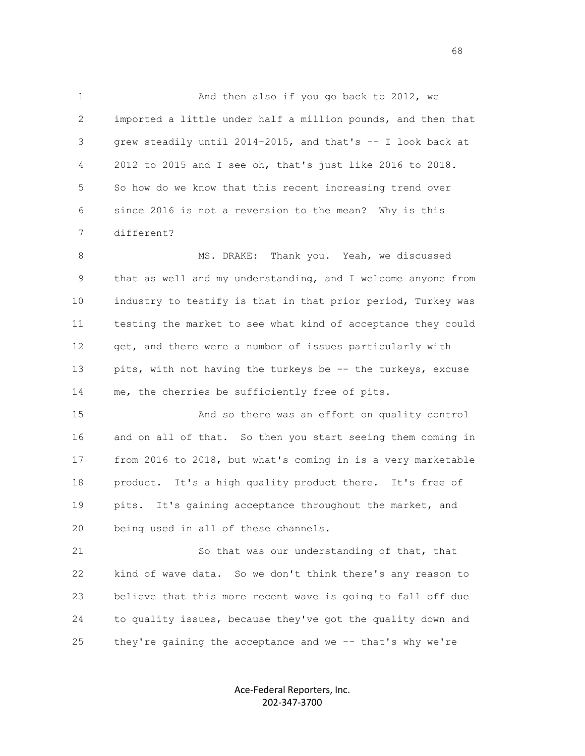1 And then also if you go back to 2012, we 2 imported a little under half a million pounds, and then that 3 grew steadily until 2014-2015, and that's -- I look back at 4 2012 to 2015 and I see oh, that's just like 2016 to 2018. 5 So how do we know that this recent increasing trend over 6 since 2016 is not a reversion to the mean? Why is this 7 different?

8 MS. DRAKE: Thank you. Yeah, we discussed 9 that as well and my understanding, and I welcome anyone from 10 industry to testify is that in that prior period, Turkey was 11 testing the market to see what kind of acceptance they could 12 get, and there were a number of issues particularly with 13 pits, with not having the turkeys be -- the turkeys, excuse 14 me, the cherries be sufficiently free of pits.

 15 And so there was an effort on quality control 16 and on all of that. So then you start seeing them coming in 17 from 2016 to 2018, but what's coming in is a very marketable 18 product. It's a high quality product there. It's free of 19 pits. It's gaining acceptance throughout the market, and 20 being used in all of these channels.

 21 So that was our understanding of that, that 22 kind of wave data. So we don't think there's any reason to 23 believe that this more recent wave is going to fall off due 24 to quality issues, because they've got the quality down and 25 they're gaining the acceptance and we -- that's why we're

> Ace-Federal Reporters, Inc. 202-347-3700

en de la construcción de la construcción de la construcción de la construcción de la construcción de la construcción de la construcción de la construcción de la construcción de la construcción de la construcción de la cons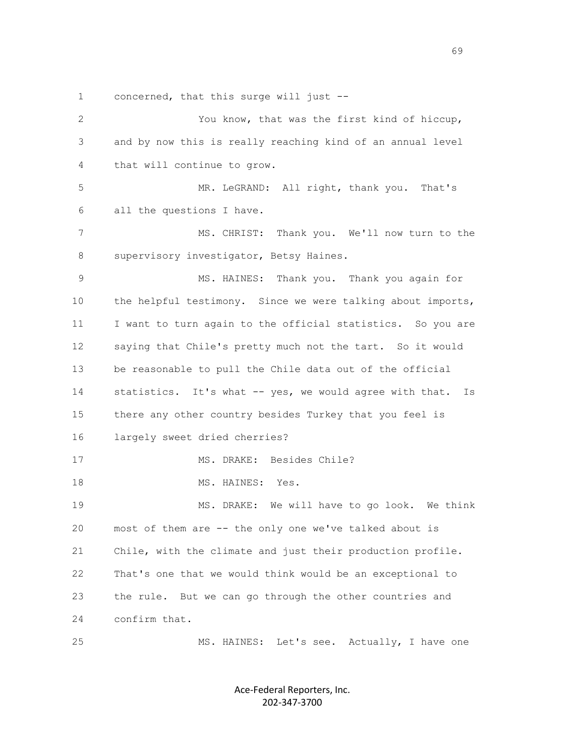1 concerned, that this surge will just --

 2 You know, that was the first kind of hiccup, 3 and by now this is really reaching kind of an annual level 4 that will continue to grow. 5 MR. LeGRAND: All right, thank you. That's 6 all the questions I have. 7 MS. CHRIST: Thank you. We'll now turn to the 8 supervisory investigator, Betsy Haines. 9 MS. HAINES: Thank you. Thank you again for 10 the helpful testimony. Since we were talking about imports, 11 I want to turn again to the official statistics. So you are 12 saying that Chile's pretty much not the tart. So it would 13 be reasonable to pull the Chile data out of the official 14 statistics. It's what -- yes, we would agree with that. Is 15 there any other country besides Turkey that you feel is 16 largely sweet dried cherries? 17 MS. DRAKE: Besides Chile? 18 MS. HAINES: Yes. 19 MS. DRAKE: We will have to go look. We think 20 most of them are -- the only one we've talked about is 21 Chile, with the climate and just their production profile. 22 That's one that we would think would be an exceptional to 23 the rule. But we can go through the other countries and 24 confirm that. 25 MS. HAINES: Let's see. Actually, I have one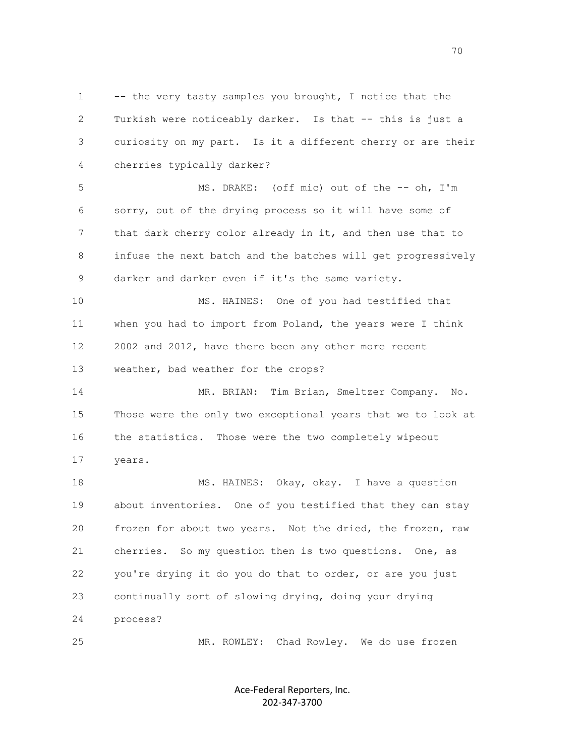1 -- the very tasty samples you brought, I notice that the 2 Turkish were noticeably darker. Is that -- this is just a 3 curiosity on my part. Is it a different cherry or are their 4 cherries typically darker?

 5 MS. DRAKE: (off mic) out of the -- oh, I'm 6 sorry, out of the drying process so it will have some of 7 that dark cherry color already in it, and then use that to 8 infuse the next batch and the batches will get progressively 9 darker and darker even if it's the same variety.

 10 MS. HAINES: One of you had testified that 11 when you had to import from Poland, the years were I think 12 2002 and 2012, have there been any other more recent 13 weather, bad weather for the crops?

 14 MR. BRIAN: Tim Brian, Smeltzer Company. No. 15 Those were the only two exceptional years that we to look at 16 the statistics. Those were the two completely wipeout 17 years.

18 MS. HAINES: Okay, okay. I have a question 19 about inventories. One of you testified that they can stay 20 frozen for about two years. Not the dried, the frozen, raw 21 cherries. So my question then is two questions. One, as 22 you're drying it do you do that to order, or are you just 23 continually sort of slowing drying, doing your drying 24 process?

25 MR. ROWLEY: Chad Rowley. We do use frozen

Ace-Federal Reporters, Inc. 202-347-3700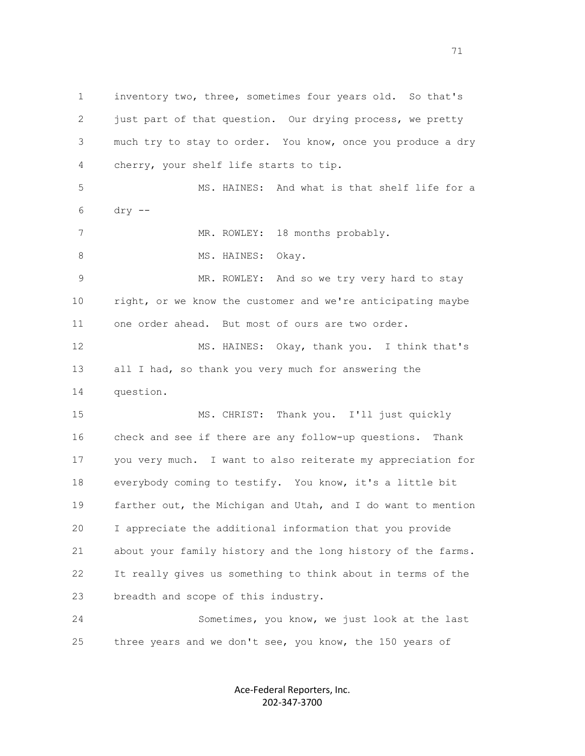1 inventory two, three, sometimes four years old. So that's 2 just part of that question. Our drying process, we pretty 3 much try to stay to order. You know, once you produce a dry 4 cherry, your shelf life starts to tip. 5 MS. HAINES: And what is that shelf life for a 6 dry -- 7 MR. ROWLEY: 18 months probably. 8 MS. HAINES: Okay. 9 MR. ROWLEY: And so we try very hard to stay 10 right, or we know the customer and we're anticipating maybe 11 one order ahead. But most of ours are two order. 12 MS. HAINES: Okay, thank you. I think that's 13 all I had, so thank you very much for answering the 14 question. 15 MS. CHRIST: Thank you. I'll just quickly 16 check and see if there are any follow-up questions. Thank 17 you very much. I want to also reiterate my appreciation for 18 everybody coming to testify. You know, it's a little bit 19 farther out, the Michigan and Utah, and I do want to mention 20 I appreciate the additional information that you provide 21 about your family history and the long history of the farms. 22 It really gives us something to think about in terms of the 23 breadth and scope of this industry. 24 Sometimes, you know, we just look at the last

> Ace-Federal Reporters, Inc. 202-347-3700

25 three years and we don't see, you know, the 150 years of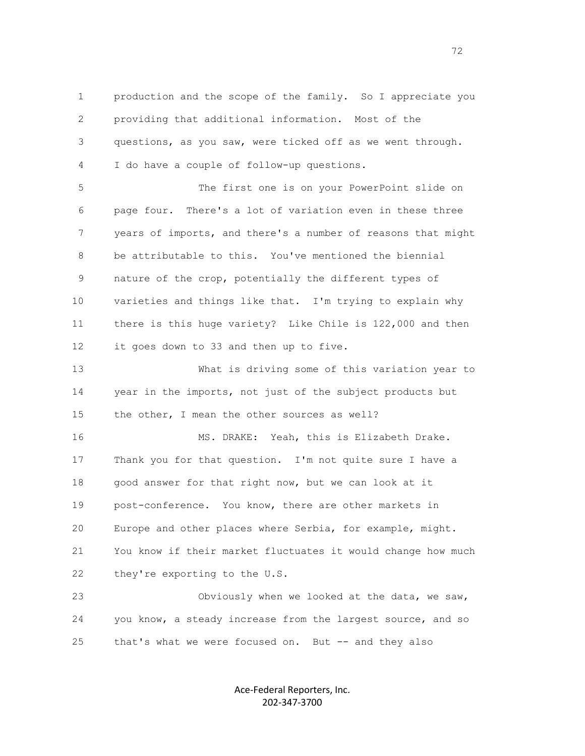1 production and the scope of the family. So I appreciate you 2 providing that additional information. Most of the 3 questions, as you saw, were ticked off as we went through. 4 I do have a couple of follow-up questions.

 5 The first one is on your PowerPoint slide on 6 page four. There's a lot of variation even in these three 7 years of imports, and there's a number of reasons that might 8 be attributable to this. You've mentioned the biennial 9 nature of the crop, potentially the different types of 10 varieties and things like that. I'm trying to explain why 11 there is this huge variety? Like Chile is 122,000 and then 12 it goes down to 33 and then up to five.

 13 What is driving some of this variation year to 14 year in the imports, not just of the subject products but 15 the other, I mean the other sources as well?

 16 MS. DRAKE: Yeah, this is Elizabeth Drake. 17 Thank you for that question. I'm not quite sure I have a 18 good answer for that right now, but we can look at it 19 post-conference. You know, there are other markets in 20 Europe and other places where Serbia, for example, might. 21 You know if their market fluctuates it would change how much 22 they're exporting to the U.S.

 23 Obviously when we looked at the data, we saw, 24 you know, a steady increase from the largest source, and so 25 that's what we were focused on. But -- and they also

> Ace-Federal Reporters, Inc. 202-347-3700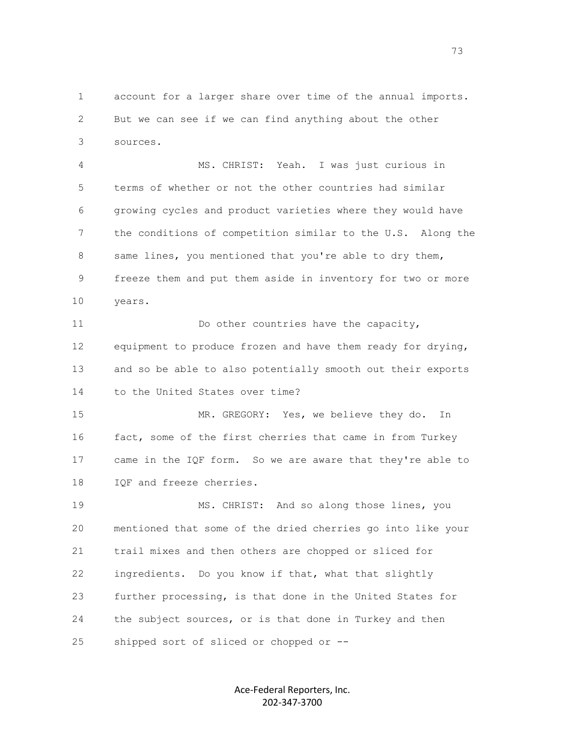1 account for a larger share over time of the annual imports. 2 But we can see if we can find anything about the other 3 sources.

 4 MS. CHRIST: Yeah. I was just curious in 5 terms of whether or not the other countries had similar 6 growing cycles and product varieties where they would have 7 the conditions of competition similar to the U.S. Along the 8 same lines, you mentioned that you're able to dry them, 9 freeze them and put them aside in inventory for two or more 10 years.

11 Do other countries have the capacity, 12 equipment to produce frozen and have them ready for drying, 13 and so be able to also potentially smooth out their exports 14 to the United States over time?

 15 MR. GREGORY: Yes, we believe they do. In 16 fact, some of the first cherries that came in from Turkey 17 came in the IQF form. So we are aware that they're able to 18 IQF and freeze cherries.

 19 MS. CHRIST: And so along those lines, you 20 mentioned that some of the dried cherries go into like your 21 trail mixes and then others are chopped or sliced for 22 ingredients. Do you know if that, what that slightly 23 further processing, is that done in the United States for 24 the subject sources, or is that done in Turkey and then 25 shipped sort of sliced or chopped or --

> Ace-Federal Reporters, Inc. 202-347-3700

n and the contract of the contract of the contract of the contract of the contract of the contract of the contract of the contract of the contract of the contract of the contract of the contract of the contract of the cont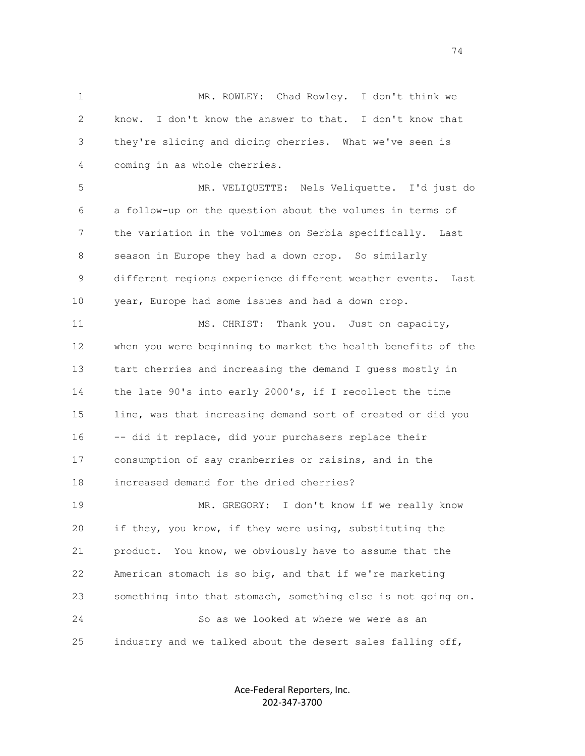1 MR. ROWLEY: Chad Rowley. I don't think we 2 know. I don't know the answer to that. I don't know that 3 they're slicing and dicing cherries. What we've seen is 4 coming in as whole cherries.

 5 MR. VELIQUETTE: Nels Veliquette. I'd just do 6 a follow-up on the question about the volumes in terms of 7 the variation in the volumes on Serbia specifically. Last 8 season in Europe they had a down crop. So similarly 9 different regions experience different weather events. Last 10 year, Europe had some issues and had a down crop.

11 MS. CHRIST: Thank you. Just on capacity, 12 when you were beginning to market the health benefits of the 13 tart cherries and increasing the demand I guess mostly in 14 the late 90's into early 2000's, if I recollect the time 15 line, was that increasing demand sort of created or did you 16 -- did it replace, did your purchasers replace their 17 consumption of say cranberries or raisins, and in the 18 increased demand for the dried cherries? 19 MR. GREGORY: I don't know if we really know 20 if they, you know, if they were using, substituting the 21 product. You know, we obviously have to assume that the 22 American stomach is so big, and that if we're marketing 23 something into that stomach, something else is not going on. 24 So as we looked at where we were as an

25 industry and we talked about the desert sales falling off,

Ace-Federal Reporters, Inc. 202-347-3700

74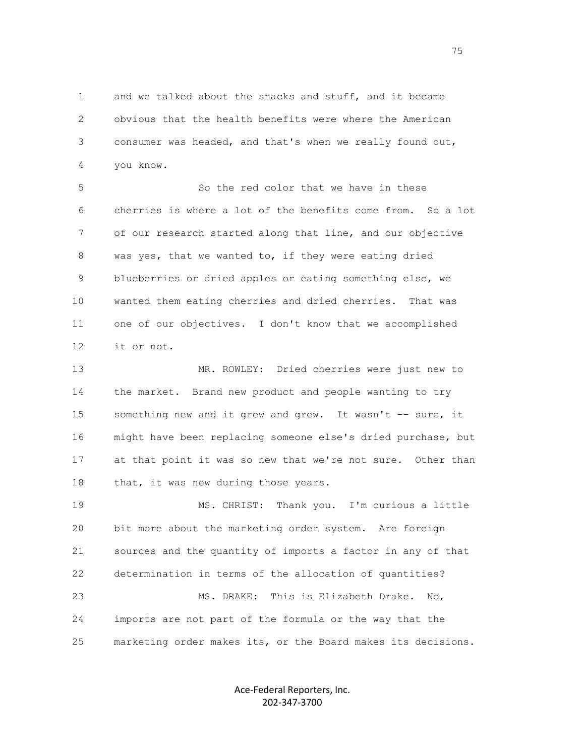1 and we talked about the snacks and stuff, and it became 2 obvious that the health benefits were where the American 3 consumer was headed, and that's when we really found out, 4 you know.

 5 So the red color that we have in these 6 cherries is where a lot of the benefits come from. So a lot 7 of our research started along that line, and our objective 8 was yes, that we wanted to, if they were eating dried 9 blueberries or dried apples or eating something else, we 10 wanted them eating cherries and dried cherries. That was 11 one of our objectives. I don't know that we accomplished 12 it or not.

 13 MR. ROWLEY: Dried cherries were just new to 14 the market. Brand new product and people wanting to try 15 something new and it grew and grew. It wasn't -- sure, it 16 might have been replacing someone else's dried purchase, but 17 at that point it was so new that we're not sure. Other than 18 that, it was new during those years.

 19 MS. CHRIST: Thank you. I'm curious a little 20 bit more about the marketing order system. Are foreign 21 sources and the quantity of imports a factor in any of that 22 determination in terms of the allocation of quantities? 23 MS. DRAKE: This is Elizabeth Drake. No, 24 imports are not part of the formula or the way that the 25 marketing order makes its, or the Board makes its decisions.

> Ace-Federal Reporters, Inc. 202-347-3700

75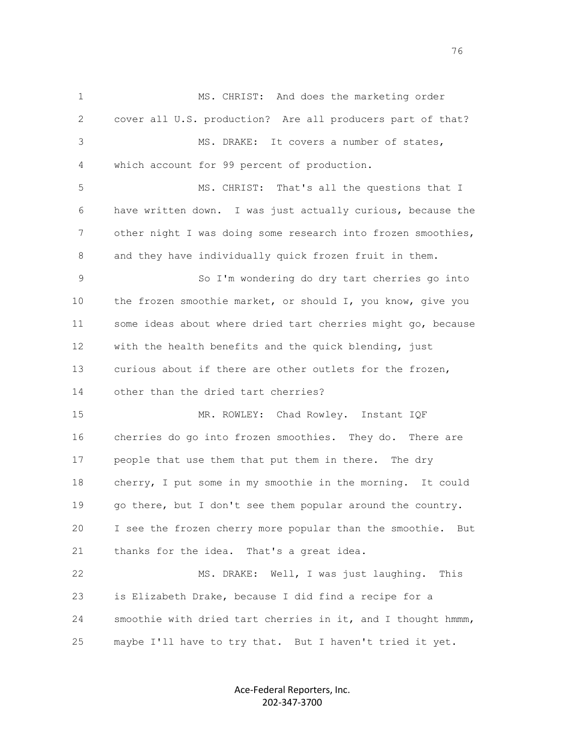1 MS. CHRIST: And does the marketing order 2 cover all U.S. production? Are all producers part of that? 3 MS. DRAKE: It covers a number of states, 4 which account for 99 percent of production. 5 MS. CHRIST: That's all the questions that I 6 have written down. I was just actually curious, because the 7 other night I was doing some research into frozen smoothies, 8 and they have individually quick frozen fruit in them. 9 So I'm wondering do dry tart cherries go into 10 the frozen smoothie market, or should I, you know, give you 11 some ideas about where dried tart cherries might go, because 12 with the health benefits and the quick blending, just 13 curious about if there are other outlets for the frozen, 14 other than the dried tart cherries? 15 MR. ROWLEY: Chad Rowley. Instant IQF 16 cherries do go into frozen smoothies. They do. There are 17 people that use them that put them in there. The dry 18 cherry, I put some in my smoothie in the morning. It could 19 go there, but I don't see them popular around the country. 20 I see the frozen cherry more popular than the smoothie. But 21 thanks for the idea. That's a great idea. 22 MS. DRAKE: Well, I was just laughing. This 23 is Elizabeth Drake, because I did find a recipe for a 24 smoothie with dried tart cherries in it, and I thought hmmm, 25 maybe I'll have to try that. But I haven't tried it yet.

> Ace-Federal Reporters, Inc. 202-347-3700

76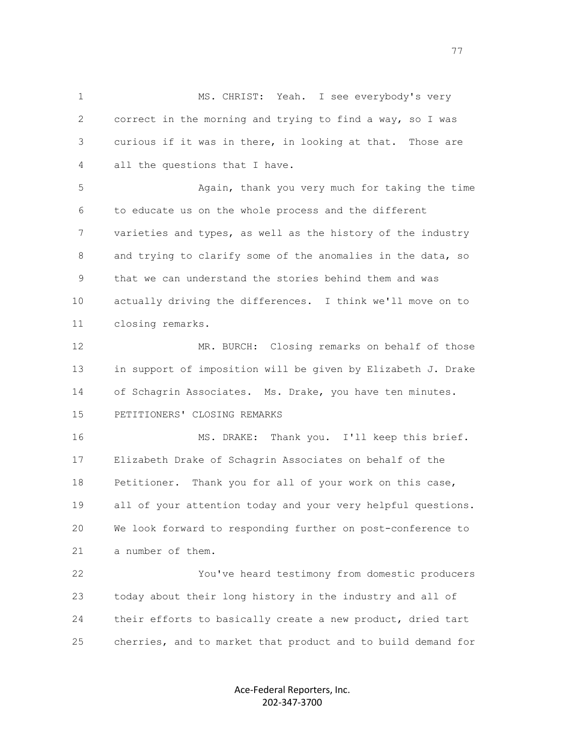1 MS. CHRIST: Yeah. I see everybody's very 2 correct in the morning and trying to find a way, so I was 3 curious if it was in there, in looking at that. Those are 4 all the questions that I have. 5 Again, thank you very much for taking the time 6 to educate us on the whole process and the different 7 varieties and types, as well as the history of the industry

 8 and trying to clarify some of the anomalies in the data, so 9 that we can understand the stories behind them and was 10 actually driving the differences. I think we'll move on to 11 closing remarks.

 12 MR. BURCH: Closing remarks on behalf of those 13 in support of imposition will be given by Elizabeth J. Drake 14 of Schagrin Associates. Ms. Drake, you have ten minutes. 15 PETITIONERS' CLOSING REMARKS

 16 MS. DRAKE: Thank you. I'll keep this brief. 17 Elizabeth Drake of Schagrin Associates on behalf of the 18 Petitioner. Thank you for all of your work on this case, 19 all of your attention today and your very helpful questions. 20 We look forward to responding further on post-conference to 21 a number of them.

 22 You've heard testimony from domestic producers 23 today about their long history in the industry and all of 24 their efforts to basically create a new product, dried tart 25 cherries, and to market that product and to build demand for

> Ace-Federal Reporters, Inc. 202-347-3700

ли в село в село во село во село во село во село во село во село во село во село во село во село во село во се<br>Постојата на селото на селото на селото на селото на селото на селото на селото на селото на селото на селото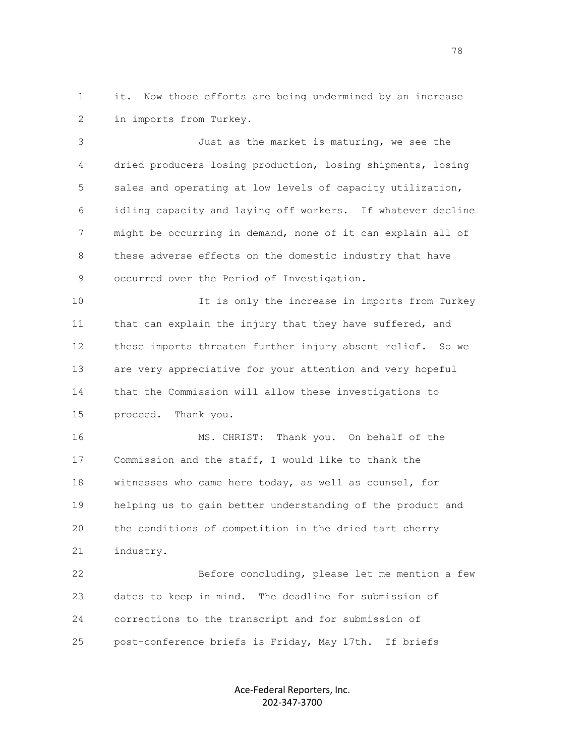1 it. Now those efforts are being undermined by an increase 2 in imports from Turkey.

 3 Just as the market is maturing, we see the 4 dried producers losing production, losing shipments, losing 5 sales and operating at low levels of capacity utilization, 6 idling capacity and laying off workers. If whatever decline 7 might be occurring in demand, none of it can explain all of 8 these adverse effects on the domestic industry that have 9 occurred over the Period of Investigation.

 10 It is only the increase in imports from Turkey 11 that can explain the injury that they have suffered, and 12 these imports threaten further injury absent relief. So we 13 are very appreciative for your attention and very hopeful 14 that the Commission will allow these investigations to 15 proceed. Thank you.

 16 MS. CHRIST: Thank you. On behalf of the 17 Commission and the staff, I would like to thank the 18 witnesses who came here today, as well as counsel, for 19 helping us to gain better understanding of the product and 20 the conditions of competition in the dried tart cherry 21 industry.

 22 Before concluding, please let me mention a few 23 dates to keep in mind. The deadline for submission of 24 corrections to the transcript and for submission of 25 post-conference briefs is Friday, May 17th. If briefs

> Ace-Federal Reporters, Inc. 202-347-3700

na a shekara ta 1972 a 1972 a 1972 a 1972 a 1972 a 1972 a 1972 a 1972 a 1972 a 1972 a 1972 a 1972 a 1972 a 19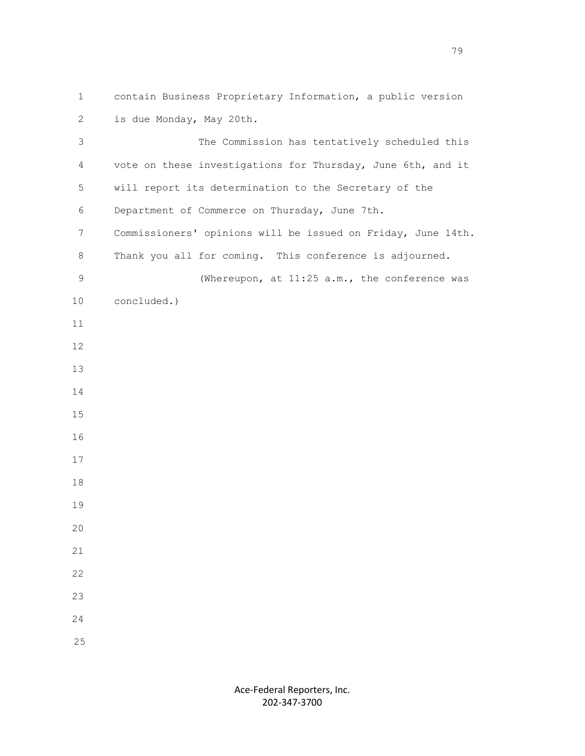1 contain Business Proprietary Information, a public version 2 is due Monday, May 20th.

 3 The Commission has tentatively scheduled this 4 vote on these investigations for Thursday, June 6th, and it 5 will report its determination to the Secretary of the 6 Department of Commerce on Thursday, June 7th. 7 Commissioners' opinions will be issued on Friday, June 14th. 8 Thank you all for coming. This conference is adjourned. 9 (Whereupon, at 11:25 a.m., the conference was 10 concluded.) 11 12 13 14 15 16 17 18 19 20 21 22 23 24 25